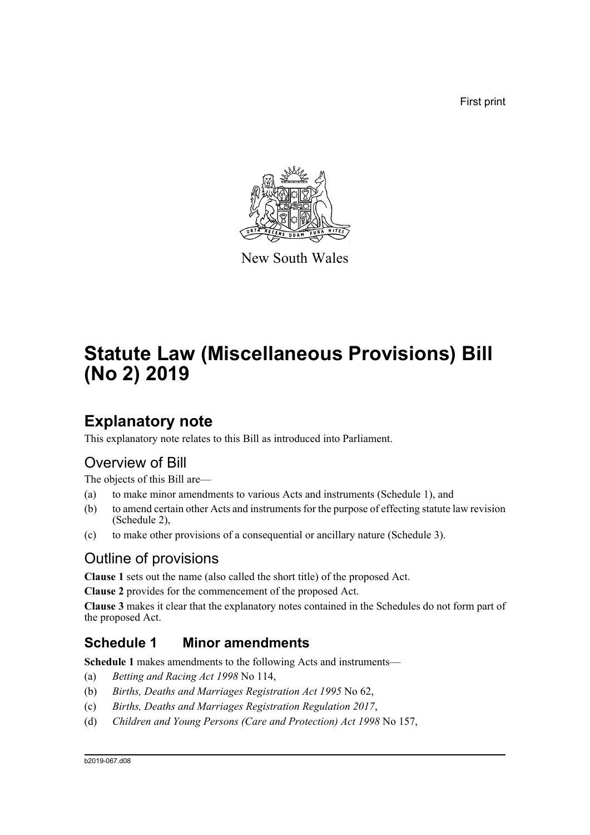First print



New South Wales

# **Statute Law (Miscellaneous Provisions) Bill (No 2) 2019**

## **Explanatory note**

This explanatory note relates to this Bill as introduced into Parliament.

## Overview of Bill

The objects of this Bill are—

- (a) to make minor amendments to various Acts and instruments (Schedule 1), and
- (b) to amend certain other Acts and instruments for the purpose of effecting statute law revision (Schedule 2),
- (c) to make other provisions of a consequential or ancillary nature (Schedule 3).

## Outline of provisions

**Clause 1** sets out the name (also called the short title) of the proposed Act.

**Clause 2** provides for the commencement of the proposed Act.

**Clause 3** makes it clear that the explanatory notes contained in the Schedules do not form part of the proposed Act.

## **Schedule 1 Minor amendments**

**Schedule 1** makes amendments to the following Acts and instruments—

- (a) *Betting and Racing Act 1998* No 114,
- (b) *Births, Deaths and Marriages Registration Act 1995* No 62,
- (c) *Births, Deaths and Marriages Registration Regulation 2017*,
- (d) *Children and Young Persons (Care and Protection) Act 1998* No 157,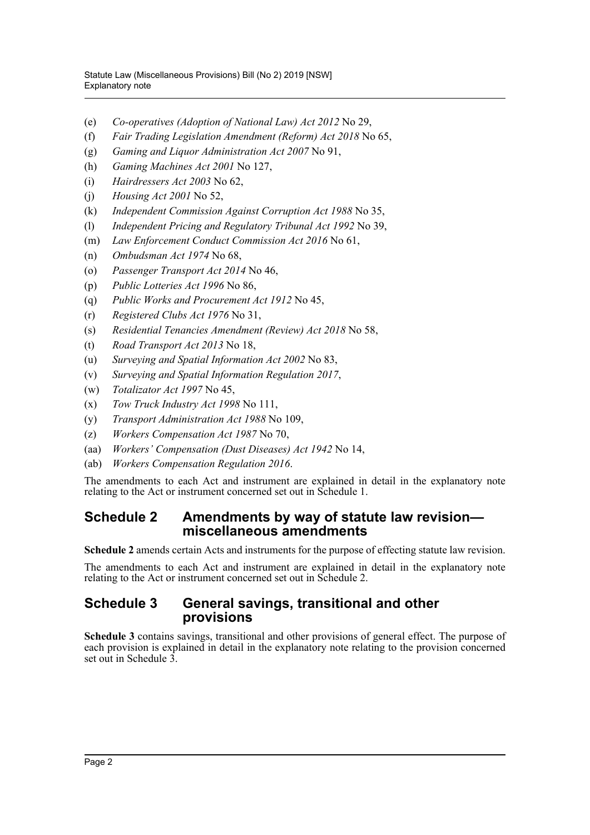- (e) *Co-operatives (Adoption of National Law) Act 2012* No 29,
- (f) *Fair Trading Legislation Amendment (Reform) Act 2018* No 65,
- (g) *Gaming and Liquor Administration Act 2007* No 91,
- (h) *Gaming Machines Act 2001* No 127,
- (i) *Hairdressers Act 2003* No 62,
- (j) *Housing Act 2001* No 52,
- (k) *Independent Commission Against Corruption Act 1988* No 35,
- (l) *Independent Pricing and Regulatory Tribunal Act 1992* No 39,
- (m) *Law Enforcement Conduct Commission Act 2016* No 61,
- (n) *Ombudsman Act 1974* No 68,
- (o) *Passenger Transport Act 2014* No 46,
- (p) *Public Lotteries Act 1996* No 86,
- (q) *Public Works and Procurement Act 1912* No 45,
- (r) *Registered Clubs Act 1976* No 31,
- (s) *Residential Tenancies Amendment (Review) Act 2018* No 58,
- (t) *Road Transport Act 2013* No 18,
- (u) *Surveying and Spatial Information Act 2002* No 83,
- (v) *Surveying and Spatial Information Regulation 2017*,
- (w) *Totalizator Act 1997* No 45,
- (x) *Tow Truck Industry Act 1998* No 111,
- (y) *Transport Administration Act 1988* No 109,
- (z) *Workers Compensation Act 1987* No 70,
- (aa) *Workers' Compensation (Dust Diseases) Act 1942* No 14,
- (ab) *Workers Compensation Regulation 2016*.

The amendments to each Act and instrument are explained in detail in the explanatory note relating to the Act or instrument concerned set out in Schedule 1.

## **Schedule 2 Amendments by way of statute law revision miscellaneous amendments**

**Schedule 2** amends certain Acts and instruments for the purpose of effecting statute law revision.

The amendments to each Act and instrument are explained in detail in the explanatory note relating to the Act or instrument concerned set out in Schedule 2.

## **Schedule 3 General savings, transitional and other provisions**

**Schedule 3** contains savings, transitional and other provisions of general effect. The purpose of each provision is explained in detail in the explanatory note relating to the provision concerned set out in Schedule 3.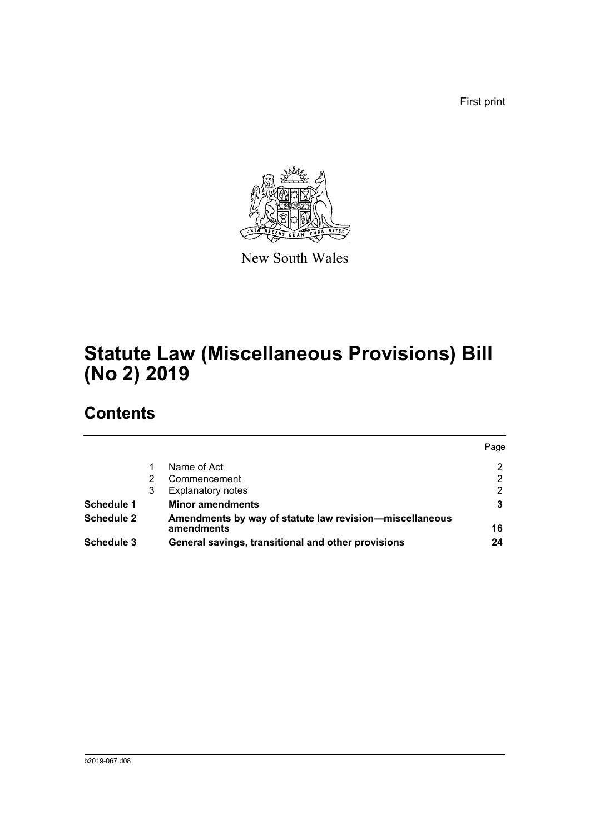First print



New South Wales

# **Statute Law (Miscellaneous Provisions) Bill (No 2) 2019**

## **Contents**

|                   |   |                                                                       | Page |
|-------------------|---|-----------------------------------------------------------------------|------|
|                   |   | Name of Act                                                           | 2    |
|                   |   | Commencement                                                          | 2    |
|                   | 3 | <b>Explanatory notes</b>                                              | 2    |
| <b>Schedule 1</b> |   | <b>Minor amendments</b>                                               |      |
| <b>Schedule 2</b> |   | Amendments by way of statute law revision-miscellaneous<br>amendments | 16   |
| Schedule 3        |   | General savings, transitional and other provisions                    | 24   |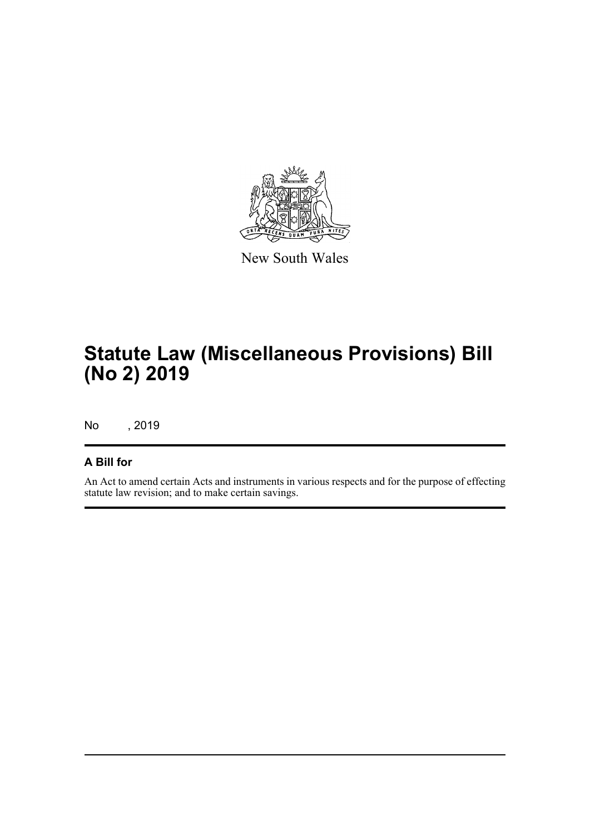

New South Wales

# **Statute Law (Miscellaneous Provisions) Bill (No 2) 2019**

No , 2019

## **A Bill for**

An Act to amend certain Acts and instruments in various respects and for the purpose of effecting statute law revision; and to make certain savings.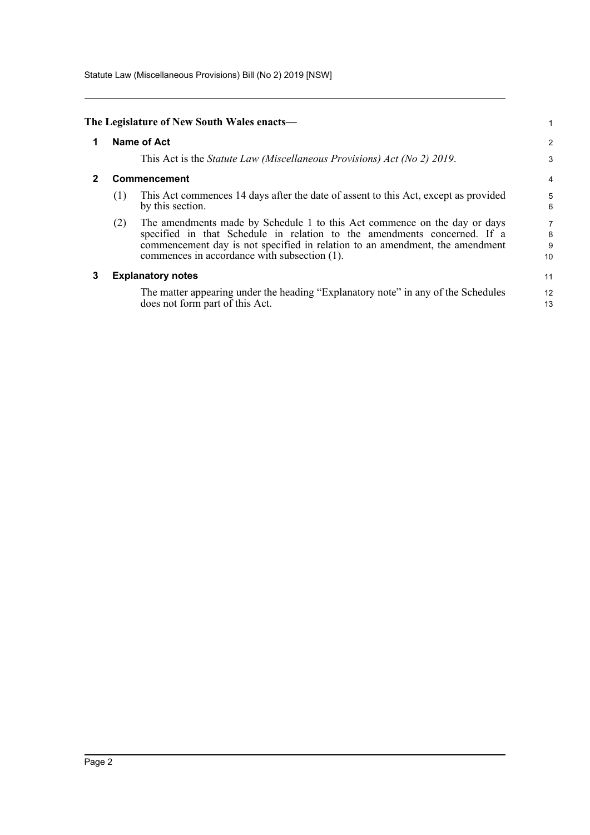Statute Law (Miscellaneous Provisions) Bill (No 2) 2019 [NSW]

<span id="page-4-2"></span><span id="page-4-1"></span><span id="page-4-0"></span>

|   |                    | The Legislature of New South Wales enacts—                                                                                                                                                                                                                                            |                   |  |  |
|---|--------------------|---------------------------------------------------------------------------------------------------------------------------------------------------------------------------------------------------------------------------------------------------------------------------------------|-------------------|--|--|
| 1 | <b>Name of Act</b> |                                                                                                                                                                                                                                                                                       |                   |  |  |
|   |                    | This Act is the <i>Statute Law (Miscellaneous Provisions) Act (No 2) 2019</i> .                                                                                                                                                                                                       | 3                 |  |  |
|   |                    | Commencement                                                                                                                                                                                                                                                                          | 4                 |  |  |
|   | (1)                | This Act commences 14 days after the date of assent to this Act, except as provided<br>by this section.                                                                                                                                                                               | 5<br>6            |  |  |
|   | (2)                | The amendments made by Schedule 1 to this Act commence on the day or days<br>specified in that Schedule in relation to the amendments concerned. If a<br>commencement day is not specified in relation to an amendment, the amendment<br>commences in accordance with subsection (1). | 7<br>8<br>9<br>10 |  |  |
| 3 |                    | <b>Explanatory notes</b>                                                                                                                                                                                                                                                              | 11                |  |  |
|   |                    | The matter appearing under the heading "Explanatory note" in any of the Schedules<br>does not form part of this Act.                                                                                                                                                                  | 12<br>13          |  |  |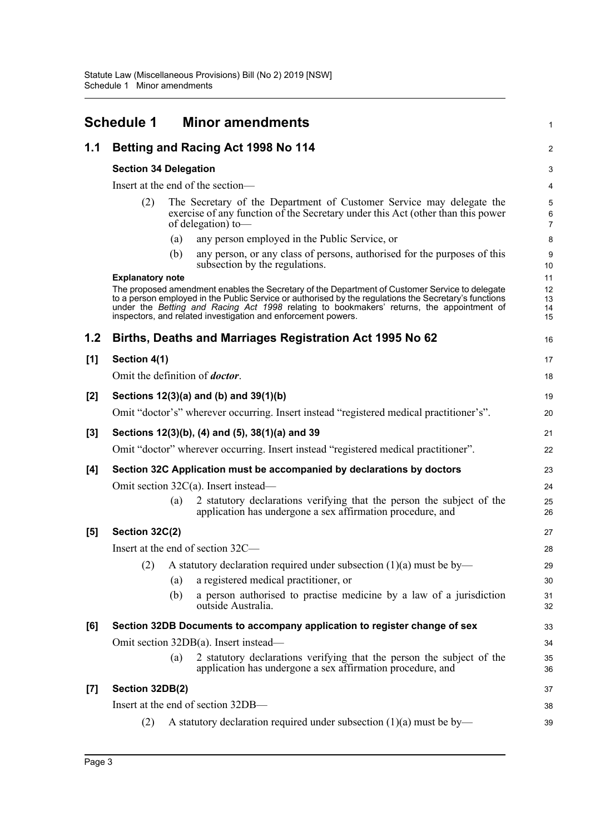<span id="page-5-0"></span>

|                    | <b>Schedule 1</b>                      |     | <b>Minor amendments</b>                                                                                                                                                                                                                                                                                                                                               | 1                          |  |  |  |
|--------------------|----------------------------------------|-----|-----------------------------------------------------------------------------------------------------------------------------------------------------------------------------------------------------------------------------------------------------------------------------------------------------------------------------------------------------------------------|----------------------------|--|--|--|
| 1.1                |                                        |     | Betting and Racing Act 1998 No 114                                                                                                                                                                                                                                                                                                                                    | 2                          |  |  |  |
|                    | <b>Section 34 Delegation</b>           |     |                                                                                                                                                                                                                                                                                                                                                                       |                            |  |  |  |
|                    | Insert at the end of the section-      |     |                                                                                                                                                                                                                                                                                                                                                                       |                            |  |  |  |
|                    | (2)                                    |     | The Secretary of the Department of Customer Service may delegate the<br>exercise of any function of the Secretary under this Act (other than this power<br>of delegation) to-                                                                                                                                                                                         | 5<br>6<br>$\overline{7}$   |  |  |  |
|                    |                                        | (a) | any person employed in the Public Service, or                                                                                                                                                                                                                                                                                                                         | 8                          |  |  |  |
|                    |                                        | (b) | any person, or any class of persons, authorised for the purposes of this<br>subsection by the regulations.                                                                                                                                                                                                                                                            | 9<br>10                    |  |  |  |
|                    | <b>Explanatory note</b>                |     | The proposed amendment enables the Secretary of the Department of Customer Service to delegate<br>to a person employed in the Public Service or authorised by the regulations the Secretary's functions<br>under the Betting and Racing Act 1998 relating to bookmakers' returns, the appointment of<br>inspectors, and related investigation and enforcement powers. | 11<br>12<br>13<br>14<br>15 |  |  |  |
| 1.2                |                                        |     | Births, Deaths and Marriages Registration Act 1995 No 62                                                                                                                                                                                                                                                                                                              | 16                         |  |  |  |
| [1]                | Section 4(1)                           |     |                                                                                                                                                                                                                                                                                                                                                                       | 17                         |  |  |  |
|                    | Omit the definition of <i>doctor</i> . |     |                                                                                                                                                                                                                                                                                                                                                                       | 18                         |  |  |  |
| [2]                |                                        |     | Sections 12(3)(a) and (b) and 39(1)(b)                                                                                                                                                                                                                                                                                                                                | 19                         |  |  |  |
|                    |                                        |     | Omit "doctor's" wherever occurring. Insert instead "registered medical practitioner's".                                                                                                                                                                                                                                                                               | 20                         |  |  |  |
| [3]                |                                        |     | Sections 12(3)(b), (4) and (5), 38(1)(a) and 39                                                                                                                                                                                                                                                                                                                       | 21                         |  |  |  |
|                    |                                        |     | Omit "doctor" wherever occurring. Insert instead "registered medical practitioner".                                                                                                                                                                                                                                                                                   | 22                         |  |  |  |
| [4]                |                                        |     | Section 32C Application must be accompanied by declarations by doctors                                                                                                                                                                                                                                                                                                | 23                         |  |  |  |
|                    |                                        |     | Omit section $32C(a)$ . Insert instead—                                                                                                                                                                                                                                                                                                                               | 24                         |  |  |  |
|                    |                                        | (a) | 2 statutory declarations verifying that the person the subject of the<br>application has undergone a sex affirmation procedure, and                                                                                                                                                                                                                                   | 25<br>26                   |  |  |  |
| [5]                | Section 32C(2)                         |     |                                                                                                                                                                                                                                                                                                                                                                       | 27                         |  |  |  |
|                    |                                        |     | Insert at the end of section 32C—                                                                                                                                                                                                                                                                                                                                     | 28                         |  |  |  |
|                    | (2)                                    |     | A statutory declaration required under subsection $(1)(a)$ must be by-                                                                                                                                                                                                                                                                                                | 29                         |  |  |  |
|                    |                                        | (a) | a registered medical practitioner, or                                                                                                                                                                                                                                                                                                                                 | 30                         |  |  |  |
|                    |                                        | (b) | a person authorised to practise medicine by a law of a jurisdiction<br>outside Australia.                                                                                                                                                                                                                                                                             | 31<br>32                   |  |  |  |
| [6]                |                                        |     | Section 32DB Documents to accompany application to register change of sex                                                                                                                                                                                                                                                                                             | 33                         |  |  |  |
|                    |                                        |     | Omit section 32DB(a). Insert instead—                                                                                                                                                                                                                                                                                                                                 | 34                         |  |  |  |
|                    |                                        | (a) | 2 statutory declarations verifying that the person the subject of the<br>application has undergone a sex affirmation procedure, and                                                                                                                                                                                                                                   | 35<br>36                   |  |  |  |
| $\left[ 7 \right]$ | Section 32DB(2)                        |     |                                                                                                                                                                                                                                                                                                                                                                       | 37                         |  |  |  |
|                    |                                        |     | Insert at the end of section 32DB—                                                                                                                                                                                                                                                                                                                                    | 38                         |  |  |  |
|                    | (2)                                    |     | A statutory declaration required under subsection $(1)(a)$ must be by—                                                                                                                                                                                                                                                                                                | 39                         |  |  |  |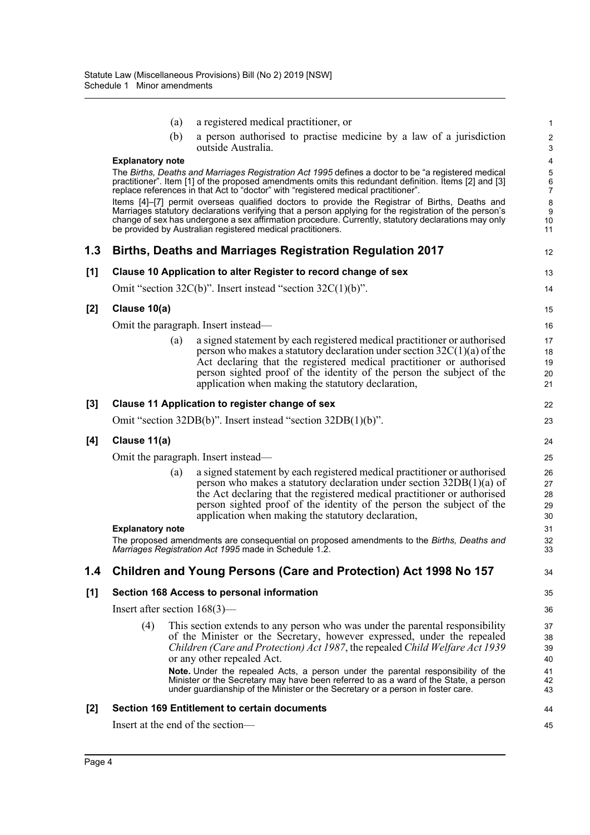|       | (a)                               | a registered medical practitioner, or                                                                                                                                                                                                                                                                                                                                          | 1                          |
|-------|-----------------------------------|--------------------------------------------------------------------------------------------------------------------------------------------------------------------------------------------------------------------------------------------------------------------------------------------------------------------------------------------------------------------------------|----------------------------|
|       | (b)                               | a person authorised to practise medicine by a law of a jurisdiction<br>outside Australia.                                                                                                                                                                                                                                                                                      | $\overline{c}$<br>3        |
|       | <b>Explanatory note</b>           |                                                                                                                                                                                                                                                                                                                                                                                | 4                          |
|       |                                   | The Births, Deaths and Marriages Registration Act 1995 defines a doctor to be "a registered medical<br>practitioner". Item [1] of the proposed amendments omits this redundant definition. Items [2] and [3]<br>replace references in that Act to "doctor" with "registered medical practitioner".                                                                             | 5<br>6<br>$\overline{7}$   |
|       |                                   | Items [4]-[7] permit overseas qualified doctors to provide the Registrar of Births, Deaths and<br>Marriages statutory declarations verifying that a person applying for the registration of the person's<br>change of sex has undergone a sex affirmation procedure. Currently, statutory declarations may only<br>be provided by Australian registered medical practitioners. | 8<br>9<br>10<br>11         |
| 1.3   |                                   | Births, Deaths and Marriages Registration Regulation 2017                                                                                                                                                                                                                                                                                                                      | 12                         |
| [1]   |                                   | Clause 10 Application to alter Register to record change of sex                                                                                                                                                                                                                                                                                                                | 13                         |
|       |                                   | Omit "section 32C(b)". Insert instead "section $32C(1)(b)$ ".                                                                                                                                                                                                                                                                                                                  | 14                         |
| $[2]$ | Clause 10(a)                      |                                                                                                                                                                                                                                                                                                                                                                                | 15                         |
|       |                                   | Omit the paragraph. Insert instead—                                                                                                                                                                                                                                                                                                                                            | 16                         |
|       | (a)                               | a signed statement by each registered medical practitioner or authorised<br>person who makes a statutory declaration under section $32C(1)(a)$ of the<br>Act declaring that the registered medical practitioner or authorised<br>person sighted proof of the identity of the person the subject of the<br>application when making the statutory declaration,                   | 17<br>18<br>19<br>20<br>21 |
| $[3]$ |                                   | Clause 11 Application to register change of sex                                                                                                                                                                                                                                                                                                                                | 22                         |
|       |                                   | Omit "section 32DB(b)". Insert instead "section 32DB(1)(b)".                                                                                                                                                                                                                                                                                                                   | 23                         |
| [4]   | Clause 11(a)                      |                                                                                                                                                                                                                                                                                                                                                                                | 24                         |
|       |                                   | Omit the paragraph. Insert instead—                                                                                                                                                                                                                                                                                                                                            | 25                         |
|       | (a)                               | a signed statement by each registered medical practitioner or authorised<br>person who makes a statutory declaration under section $32DB(1)(a)$ of<br>the Act declaring that the registered medical practitioner or authorised<br>person sighted proof of the identity of the person the subject of the<br>application when making the statutory declaration,                  | 26<br>27<br>28<br>29<br>30 |
|       | <b>Explanatory note</b>           |                                                                                                                                                                                                                                                                                                                                                                                | 31                         |
|       |                                   | The proposed amendments are consequential on proposed amendments to the Births, Deaths and<br>Marriages Registration Act 1995 made in Schedule 1.2.                                                                                                                                                                                                                            | 32<br>33                   |
| 1.4   |                                   | Children and Young Persons (Care and Protection) Act 1998 No 157                                                                                                                                                                                                                                                                                                               | 34                         |
| [1]   |                                   | Section 168 Access to personal information                                                                                                                                                                                                                                                                                                                                     | 35                         |
|       | Insert after section $168(3)$ —   |                                                                                                                                                                                                                                                                                                                                                                                | 36                         |
|       | (4)                               | This section extends to any person who was under the parental responsibility<br>of the Minister or the Secretary, however expressed, under the repealed<br>Children (Care and Protection) Act 1987, the repealed Child Welfare Act 1939<br>or any other repealed Act.                                                                                                          | 37<br>38<br>39<br>40       |
|       |                                   | Note. Under the repealed Acts, a person under the parental responsibility of the<br>Minister or the Secretary may have been referred to as a ward of the State, a person<br>under guardianship of the Minister or the Secretary or a person in foster care.                                                                                                                    | 41<br>42<br>43             |
| [2]   |                                   | <b>Section 169 Entitlement to certain documents</b>                                                                                                                                                                                                                                                                                                                            | 44                         |
|       | Insert at the end of the section- |                                                                                                                                                                                                                                                                                                                                                                                | 45                         |
|       |                                   |                                                                                                                                                                                                                                                                                                                                                                                |                            |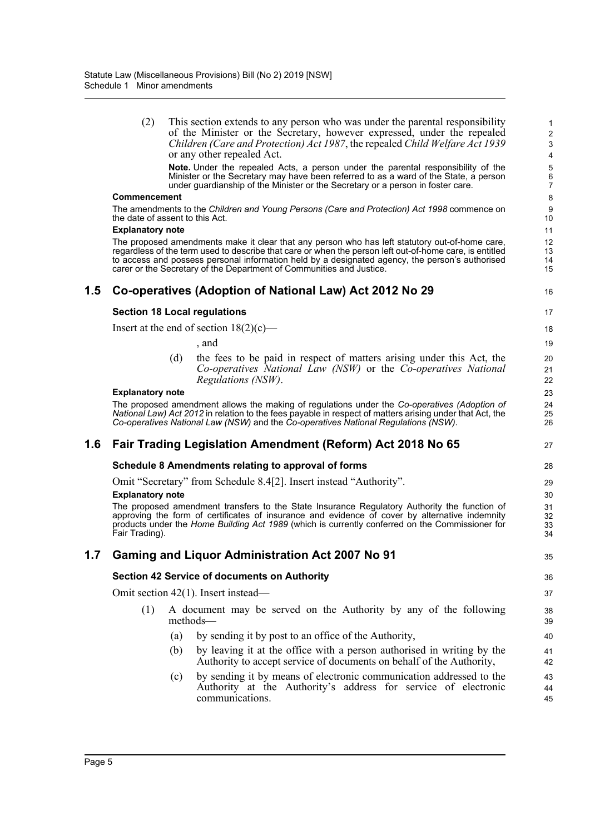|         | (2)                     | This section extends to any person who was under the parental responsibility                                                                                                                                                                                                       | $\mathbf{1}$                   |
|---------|-------------------------|------------------------------------------------------------------------------------------------------------------------------------------------------------------------------------------------------------------------------------------------------------------------------------|--------------------------------|
|         |                         | of the Minister or the Secretary, however expressed, under the repealed<br>Children (Care and Protection) Act 1987, the repealed Child Welfare Act 1939                                                                                                                            | $\boldsymbol{2}$<br>$\sqrt{3}$ |
|         |                         | or any other repealed Act.                                                                                                                                                                                                                                                         | $\overline{\mathbf{4}}$        |
|         |                         | Note. Under the repealed Acts, a person under the parental responsibility of the                                                                                                                                                                                                   | 5                              |
|         |                         | Minister or the Secretary may have been referred to as a ward of the State, a person<br>under guardianship of the Minister or the Secretary or a person in foster care.                                                                                                            | $\,6$<br>7                     |
|         | <b>Commencement</b>     |                                                                                                                                                                                                                                                                                    | 8                              |
|         |                         | The amendments to the Children and Young Persons (Care and Protection) Act 1998 commence on<br>the date of assent to this Act.                                                                                                                                                     | 9<br>10                        |
|         | <b>Explanatory note</b> |                                                                                                                                                                                                                                                                                    | 11                             |
|         |                         | The proposed amendments make it clear that any person who has left statutory out-of-home care,                                                                                                                                                                                     | 12                             |
|         |                         | regardless of the term used to describe that care or when the person left out-of-home care, is entitled<br>to access and possess personal information held by a designated agency, the person's authorised<br>carer or the Secretary of the Department of Communities and Justice. | 13<br>14<br>15                 |
| $1.5\,$ |                         | Co-operatives (Adoption of National Law) Act 2012 No 29                                                                                                                                                                                                                            | 16                             |
|         |                         | <b>Section 18 Local regulations</b>                                                                                                                                                                                                                                                | 17                             |
|         |                         | Insert at the end of section $18(2)(c)$ —                                                                                                                                                                                                                                          | 18                             |
|         |                         | , and                                                                                                                                                                                                                                                                              | 19                             |
|         |                         | (d)<br>the fees to be paid in respect of matters arising under this Act, the                                                                                                                                                                                                       | 20                             |
|         |                         | Co-operatives National Law (NSW) or the Co-operatives National                                                                                                                                                                                                                     | 21                             |
|         |                         | Regulations (NSW).                                                                                                                                                                                                                                                                 | 22                             |
|         | <b>Explanatory note</b> |                                                                                                                                                                                                                                                                                    | 23                             |
|         |                         | The proposed amendment allows the making of regulations under the Co-operatives (Adoption of<br>National Law) Act 2012 in relation to the fees payable in respect of matters arising under that Act, the                                                                           | 24<br>25                       |
|         |                         | Co-operatives National Law (NSW) and the Co-operatives National Regulations (NSW).                                                                                                                                                                                                 | 26                             |
| 1.6     |                         | Fair Trading Legislation Amendment (Reform) Act 2018 No 65                                                                                                                                                                                                                         | 27                             |
|         |                         | Schedule 8 Amendments relating to approval of forms                                                                                                                                                                                                                                | 28                             |
|         |                         | Omit "Secretary" from Schedule 8.4[2]. Insert instead "Authority".                                                                                                                                                                                                                 | 29                             |
|         | <b>Explanatory note</b> |                                                                                                                                                                                                                                                                                    | 30                             |
|         |                         | The proposed amendment transfers to the State Insurance Regulatory Authority the function of<br>approving the form of certificates of insurance and evidence of cover by alternative indemnity                                                                                     | 31                             |
|         |                         | products under the Home Building Act 1989 (which is currently conferred on the Commissioner for                                                                                                                                                                                    | 32<br>33                       |
|         | Fair Trading).          |                                                                                                                                                                                                                                                                                    | 34                             |
| 1.7     |                         | <b>Gaming and Liquor Administration Act 2007 No 91</b>                                                                                                                                                                                                                             | 35                             |
|         |                         | <b>Section 42 Service of documents on Authority</b>                                                                                                                                                                                                                                | 36                             |
|         |                         | Omit section $42(1)$ . Insert instead—                                                                                                                                                                                                                                             | 37                             |
|         | (1)                     | A document may be served on the Authority by any of the following<br>methods—                                                                                                                                                                                                      | 38<br>39                       |
|         |                         | by sending it by post to an office of the Authority,<br>(a)                                                                                                                                                                                                                        | 40                             |
|         |                         | by leaving it at the office with a person authorised in writing by the<br>(b)<br>Authority to accept service of documents on behalf of the Authority,                                                                                                                              | 41<br>42                       |
|         |                         | by sending it by means of electronic communication addressed to the<br>(c)<br>Authority at the Authority's address for service of electronic<br>communications.                                                                                                                    | 43<br>44<br>45                 |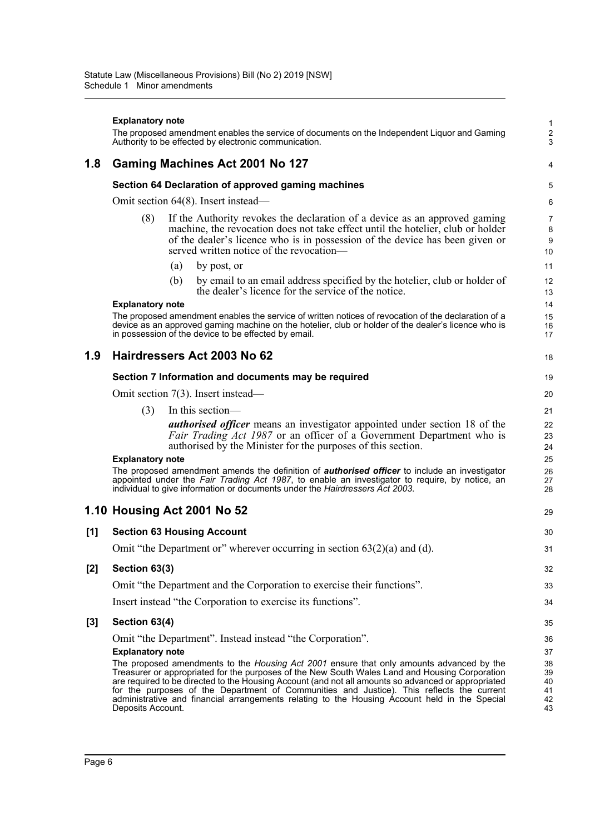|       | <b>Explanatory note</b> |     | The proposed amendment enables the service of documents on the Independent Liquor and Gaming<br>Authority to be effected by electronic communication.                                                                                                                                                                                                                                                                                                                                                  | 1<br>$\overline{c}$<br>3         |
|-------|-------------------------|-----|--------------------------------------------------------------------------------------------------------------------------------------------------------------------------------------------------------------------------------------------------------------------------------------------------------------------------------------------------------------------------------------------------------------------------------------------------------------------------------------------------------|----------------------------------|
| 1.8   |                         |     | Gaming Machines Act 2001 No 127                                                                                                                                                                                                                                                                                                                                                                                                                                                                        | 4                                |
|       |                         |     | Section 64 Declaration of approved gaming machines                                                                                                                                                                                                                                                                                                                                                                                                                                                     | 5                                |
|       |                         |     | Omit section 64(8). Insert instead—                                                                                                                                                                                                                                                                                                                                                                                                                                                                    | 6                                |
|       | (8)                     |     | If the Authority revokes the declaration of a device as an approved gaming<br>machine, the revocation does not take effect until the hotelier, club or holder<br>of the dealer's licence who is in possession of the device has been given or<br>served written notice of the revocation—                                                                                                                                                                                                              | $\overline{7}$<br>8<br>9<br>10   |
|       |                         | (a) | by post, or                                                                                                                                                                                                                                                                                                                                                                                                                                                                                            | 11                               |
|       |                         | (b) | by email to an email address specified by the hotelier, club or holder of<br>the dealer's licence for the service of the notice.                                                                                                                                                                                                                                                                                                                                                                       | 12<br>13                         |
|       | <b>Explanatory note</b> |     |                                                                                                                                                                                                                                                                                                                                                                                                                                                                                                        | 14                               |
|       |                         |     | The proposed amendment enables the service of written notices of revocation of the declaration of a<br>device as an approved gaming machine on the hotelier, club or holder of the dealer's licence who is<br>in possession of the device to be effected by email.                                                                                                                                                                                                                                     | 15<br>16<br>17                   |
| 1.9   |                         |     | Hairdressers Act 2003 No 62                                                                                                                                                                                                                                                                                                                                                                                                                                                                            | 18                               |
|       |                         |     | Section 7 Information and documents may be required                                                                                                                                                                                                                                                                                                                                                                                                                                                    | 19                               |
|       |                         |     | Omit section $7(3)$ . Insert instead—                                                                                                                                                                                                                                                                                                                                                                                                                                                                  | 20                               |
|       | (3)                     |     | In this section-                                                                                                                                                                                                                                                                                                                                                                                                                                                                                       | 21                               |
|       |                         |     | <i>authorised officer</i> means an investigator appointed under section 18 of the<br>Fair Trading Act 1987 or an officer of a Government Department who is<br>authorised by the Minister for the purposes of this section.                                                                                                                                                                                                                                                                             | 22<br>23<br>24                   |
|       | <b>Explanatory note</b> |     | The proposed amendment amends the definition of <b>authorised officer</b> to include an investigator<br>appointed under the Fair Trading Act 1987, to enable an investigator to require, by notice, an<br>individual to give information or documents under the <i>Hairdressers Act 2003</i> .                                                                                                                                                                                                         | 25<br>26<br>27<br>28             |
|       |                         |     | 1.10 Housing Act 2001 No 52                                                                                                                                                                                                                                                                                                                                                                                                                                                                            | 29                               |
| [1]   |                         |     | <b>Section 63 Housing Account</b>                                                                                                                                                                                                                                                                                                                                                                                                                                                                      | 30                               |
|       |                         |     | Omit "the Department or" wherever occurring in section $63(2)(a)$ and (d).                                                                                                                                                                                                                                                                                                                                                                                                                             | 31                               |
| [2]   | Section 63(3)           |     |                                                                                                                                                                                                                                                                                                                                                                                                                                                                                                        | 32                               |
|       |                         |     | Omit "the Department and the Corporation to exercise their functions".                                                                                                                                                                                                                                                                                                                                                                                                                                 | 33                               |
|       |                         |     | Insert instead "the Corporation to exercise its functions".                                                                                                                                                                                                                                                                                                                                                                                                                                            | 34                               |
| $[3]$ | Section 63(4)           |     |                                                                                                                                                                                                                                                                                                                                                                                                                                                                                                        | 35                               |
|       |                         |     | Omit "the Department". Instead instead "the Corporation".                                                                                                                                                                                                                                                                                                                                                                                                                                              | 36                               |
|       | <b>Explanatory note</b> |     |                                                                                                                                                                                                                                                                                                                                                                                                                                                                                                        | 37                               |
|       | Deposits Account.       |     | The proposed amendments to the <i>Housing Act 2001</i> ensure that only amounts advanced by the<br>Treasurer or appropriated for the purposes of the New South Wales Land and Housing Corporation<br>are required to be directed to the Housing Account (and not all amounts so advanced or appropriated<br>for the purposes of the Department of Communities and Justice). This reflects the current<br>administrative and financial arrangements relating to the Housing Account held in the Special | 38<br>39<br>40<br>41<br>42<br>43 |
|       |                         |     |                                                                                                                                                                                                                                                                                                                                                                                                                                                                                                        |                                  |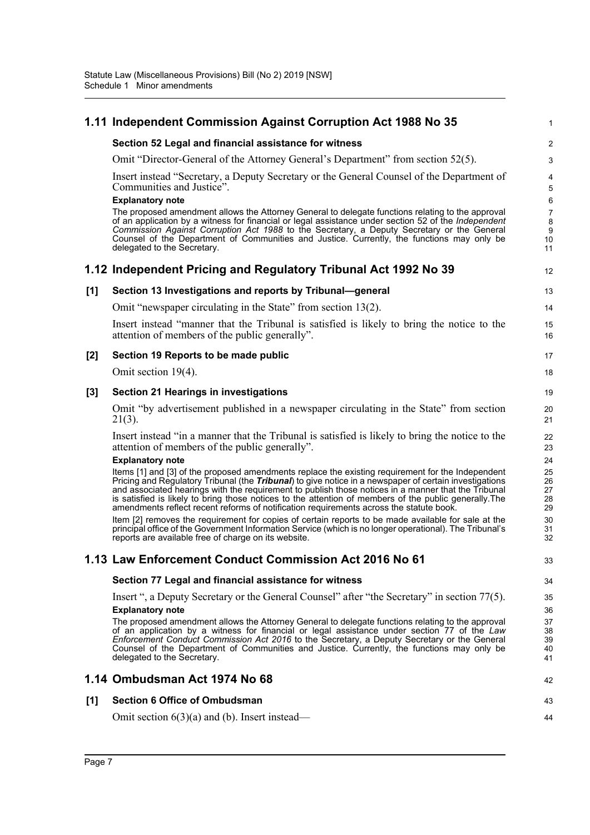|       | 1.11 Independent Commission Against Corruption Act 1988 No 35                                                                                                                                                                                                                                                                                                                                                                 | 1                             |
|-------|-------------------------------------------------------------------------------------------------------------------------------------------------------------------------------------------------------------------------------------------------------------------------------------------------------------------------------------------------------------------------------------------------------------------------------|-------------------------------|
|       | Section 52 Legal and financial assistance for witness                                                                                                                                                                                                                                                                                                                                                                         | $\boldsymbol{2}$              |
|       | Omit "Director-General of the Attorney General's Department" from section 52(5).                                                                                                                                                                                                                                                                                                                                              | 3                             |
|       | Insert instead "Secretary, a Deputy Secretary or the General Counsel of the Department of<br>Communities and Justice".<br><b>Explanatory note</b><br>The proposed amendment allows the Attorney General to delegate functions relating to the approval                                                                                                                                                                        | 4<br>5<br>6<br>$\overline{7}$ |
|       | of an application by a witness for financial or legal assistance under section 52 of the Independent<br>Commission Against Corruption Act 1988 to the Secretary, a Deputy Secretary or the General<br>Counsel of the Department of Communities and Justice. Currently, the functions may only be<br>delegated to the Secretary.                                                                                               | 8<br>9<br>10<br>11            |
|       | 1.12 Independent Pricing and Regulatory Tribunal Act 1992 No 39                                                                                                                                                                                                                                                                                                                                                               | 12                            |
| [1]   | Section 13 Investigations and reports by Tribunal-general                                                                                                                                                                                                                                                                                                                                                                     | 13                            |
|       | Omit "newspaper circulating in the State" from section $13(2)$ .                                                                                                                                                                                                                                                                                                                                                              | 14                            |
|       | Insert instead "manner that the Tribunal is satisfied is likely to bring the notice to the<br>attention of members of the public generally".                                                                                                                                                                                                                                                                                  | 15<br>16                      |
| [2]   | Section 19 Reports to be made public                                                                                                                                                                                                                                                                                                                                                                                          | 17                            |
|       | Omit section 19(4).                                                                                                                                                                                                                                                                                                                                                                                                           | 18                            |
| $[3]$ | <b>Section 21 Hearings in investigations</b>                                                                                                                                                                                                                                                                                                                                                                                  | 19                            |
|       | Omit "by advertisement published in a newspaper circulating in the State" from section<br>$21(3)$ .                                                                                                                                                                                                                                                                                                                           | 20<br>21                      |
|       | Insert instead "in a manner that the Tribunal is satisfied is likely to bring the notice to the<br>attention of members of the public generally".                                                                                                                                                                                                                                                                             | 22<br>23                      |
|       | <b>Explanatory note</b><br>Items [1] and [3] of the proposed amendments replace the existing requirement for the Independent                                                                                                                                                                                                                                                                                                  | 24<br>25                      |
|       | Pricing and Regulatory Tribunal (the <i>Tribunal</i> ) to give notice in a newspaper of certain investigations<br>and associated hearings with the requirement to publish those notices in a manner that the Tribunal<br>is satisfied is likely to bring those notices to the attention of members of the public generally. The<br>amendments reflect recent reforms of notification requirements across the statute book.    | 26<br>27<br>28<br>29          |
|       | Item [2] removes the requirement for copies of certain reports to be made available for sale at the<br>principal office of the Government Information Service (which is no longer operational). The Tribunal's<br>reports are available free of charge on its website.                                                                                                                                                        | 30<br>31<br>32                |
|       | 1.13 Law Enforcement Conduct Commission Act 2016 No 61                                                                                                                                                                                                                                                                                                                                                                        | 33                            |
|       | Section 77 Legal and financial assistance for witness                                                                                                                                                                                                                                                                                                                                                                         | 34                            |
|       | Insert ", a Deputy Secretary or the General Counsel" after "the Secretary" in section 77(5).                                                                                                                                                                                                                                                                                                                                  | 35                            |
|       | <b>Explanatory note</b>                                                                                                                                                                                                                                                                                                                                                                                                       | 36                            |
|       | The proposed amendment allows the Attorney General to delegate functions relating to the approval<br>of an application by a witness for financial or legal assistance under section 77 of the Law<br>Enforcement Conduct Commission Act 2016 to the Secretary, a Deputy Secretary or the General<br>Counsel of the Department of Communities and Justice. Currently, the functions may only be<br>delegated to the Secretary. | 37<br>38<br>39<br>40<br>41    |
|       | 1.14 Ombudsman Act 1974 No 68                                                                                                                                                                                                                                                                                                                                                                                                 | 42                            |
| [1]   | <b>Section 6 Office of Ombudsman</b>                                                                                                                                                                                                                                                                                                                                                                                          | 43                            |
|       | Omit section $6(3)(a)$ and (b). Insert instead—                                                                                                                                                                                                                                                                                                                                                                               | 44                            |
|       |                                                                                                                                                                                                                                                                                                                                                                                                                               |                               |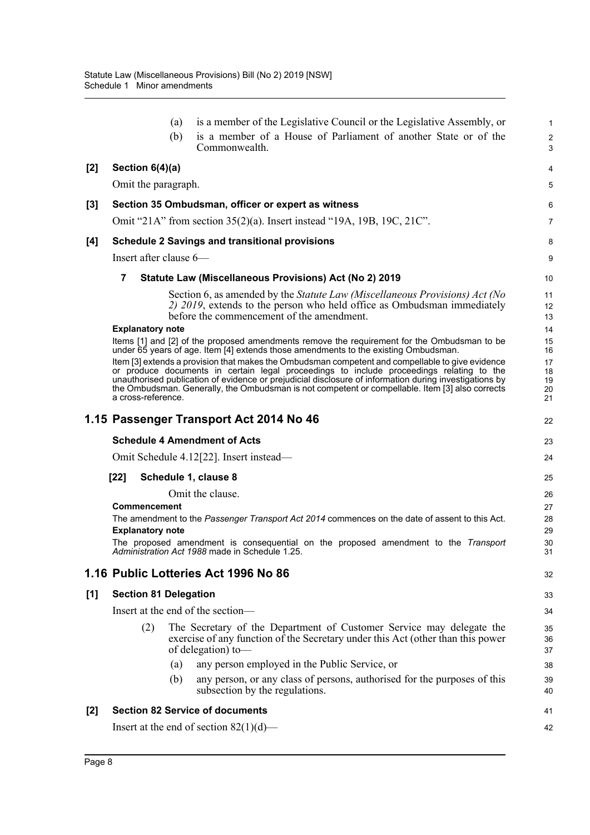|       | (a)                          | is a member of the Legislative Council or the Legislative Assembly, or                                                                                                                                                                                                                                                                                                                                    | $\mathbf{1}$               |
|-------|------------------------------|-----------------------------------------------------------------------------------------------------------------------------------------------------------------------------------------------------------------------------------------------------------------------------------------------------------------------------------------------------------------------------------------------------------|----------------------------|
|       | (b)                          | is a member of a House of Parliament of another State or of the<br>Commonwealth.                                                                                                                                                                                                                                                                                                                          | $\overline{2}$<br>3        |
| $[2]$ | Section $6(4)(a)$            |                                                                                                                                                                                                                                                                                                                                                                                                           | 4                          |
|       | Omit the paragraph.          |                                                                                                                                                                                                                                                                                                                                                                                                           | 5                          |
| $[3]$ |                              | Section 35 Ombudsman, officer or expert as witness                                                                                                                                                                                                                                                                                                                                                        | 6                          |
|       |                              | Omit "21A" from section 35(2)(a). Insert instead "19A, 19B, 19C, 21C".                                                                                                                                                                                                                                                                                                                                    | $\overline{7}$             |
| [4]   |                              | <b>Schedule 2 Savings and transitional provisions</b>                                                                                                                                                                                                                                                                                                                                                     | 8                          |
|       | Insert after clause $6-$     |                                                                                                                                                                                                                                                                                                                                                                                                           | 9                          |
|       | 7                            | Statute Law (Miscellaneous Provisions) Act (No 2) 2019                                                                                                                                                                                                                                                                                                                                                    | 10                         |
|       |                              | Section 6, as amended by the Statute Law (Miscellaneous Provisions) Act (No<br>2) 2019, extends to the person who held office as Ombudsman immediately<br>before the commencement of the amendment.                                                                                                                                                                                                       | 11<br>12<br>13             |
|       | <b>Explanatory note</b>      | Items [1] and [2] of the proposed amendments remove the requirement for the Ombudsman to be                                                                                                                                                                                                                                                                                                               | 14<br>15                   |
|       |                              | under 65 years of age. Item [4] extends those amendments to the existing Ombudsman.                                                                                                                                                                                                                                                                                                                       | 16                         |
|       | a cross-reference.           | Item [3] extends a provision that makes the Ombudsman competent and compellable to give evidence<br>or produce documents in certain legal proceedings to include proceedings relating to the<br>unauthorised publication of evidence or prejudicial disclosure of information during investigations by<br>the Ombudsman. Generally, the Ombudsman is not competent or compellable. Item [3] also corrects | 17<br>18<br>19<br>20<br>21 |
|       |                              | 1.15 Passenger Transport Act 2014 No 46                                                                                                                                                                                                                                                                                                                                                                   | 22                         |
|       |                              | <b>Schedule 4 Amendment of Acts</b>                                                                                                                                                                                                                                                                                                                                                                       | 23                         |
|       |                              | Omit Schedule 4.12[22]. Insert instead—                                                                                                                                                                                                                                                                                                                                                                   | 24                         |
|       | $[22]$                       | Schedule 1, clause 8                                                                                                                                                                                                                                                                                                                                                                                      | 25                         |
|       |                              | Omit the clause.                                                                                                                                                                                                                                                                                                                                                                                          | 26                         |
|       | <b>Commencement</b>          | The amendment to the Passenger Transport Act 2014 commences on the date of assent to this Act.                                                                                                                                                                                                                                                                                                            | 27<br>28                   |
|       |                              |                                                                                                                                                                                                                                                                                                                                                                                                           |                            |
|       | <b>Explanatory note</b>      |                                                                                                                                                                                                                                                                                                                                                                                                           | 29                         |
|       |                              | The proposed amendment is consequential on the proposed amendment to the Transport<br>Administration Act 1988 made in Schedule 1.25.                                                                                                                                                                                                                                                                      | 30<br>31                   |
|       |                              | 1.16 Public Lotteries Act 1996 No 86                                                                                                                                                                                                                                                                                                                                                                      | 32                         |
| [1]   | <b>Section 81 Delegation</b> |                                                                                                                                                                                                                                                                                                                                                                                                           | 33                         |
|       |                              | Insert at the end of the section-                                                                                                                                                                                                                                                                                                                                                                         | 34                         |
|       | (2)                          | The Secretary of the Department of Customer Service may delegate the<br>exercise of any function of the Secretary under this Act (other than this power<br>of delegation) to-                                                                                                                                                                                                                             | 35<br>36<br>37             |
|       | (a)                          | any person employed in the Public Service, or                                                                                                                                                                                                                                                                                                                                                             | 38                         |
|       | (b)                          | any person, or any class of persons, authorised for the purposes of this<br>subsection by the regulations.                                                                                                                                                                                                                                                                                                | 39<br>40                   |
| [2]   |                              | <b>Section 82 Service of documents</b>                                                                                                                                                                                                                                                                                                                                                                    | 41                         |
|       |                              | Insert at the end of section $82(1)(d)$ —                                                                                                                                                                                                                                                                                                                                                                 | 42                         |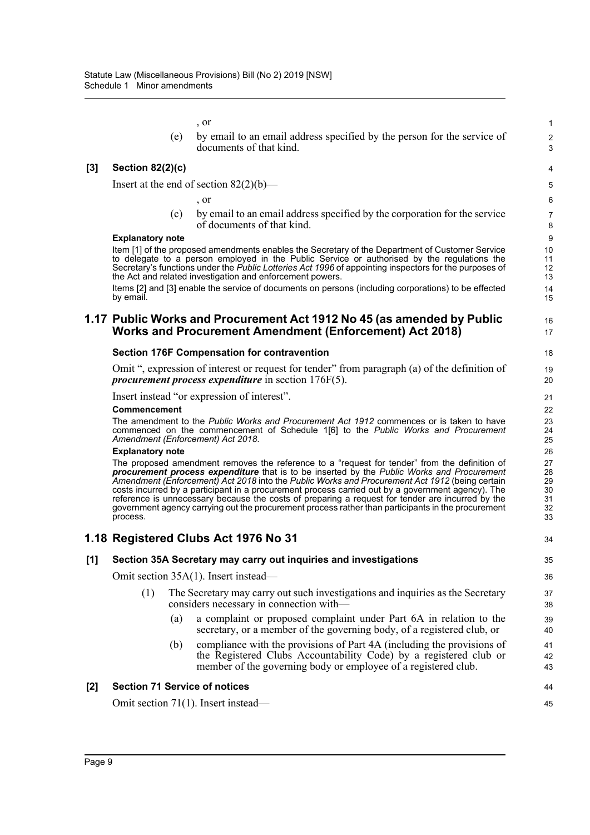, or

(e) by email to an email address specified by the person for the service of documents of that kind.

1  $\overline{2}$ 3

16 17

#### **[3] Section 82(2)(c)**

Insert at the end of section  $82(2)(b)$ —

, or

(c) by email to an email address specified by the corporation for the service of documents of that kind.

#### **Explanatory note**

Item [1] of the proposed amendments enables the Secretary of the Department of Customer Service to delegate to a person employed in the Public Service or authorised by the regulations the Secretary's functions under the *Public Lotteries Act 1996* of appointing inspectors for the purposes of the Act and related investigation and enforcement powers.

Items [2] and [3] enable the service of documents on persons (including corporations) to be effected by email

### **1.17 Public Works and Procurement Act 1912 No 45 (as amended by Public Works and Procurement Amendment (Enforcement) Act 2018)**

#### **Section 176F Compensation for contravention**

Omit ", expression of interest or request for tender" from paragraph (a) of the definition of *procurement process expenditure* in section 176F(5).

Insert instead "or expression of interest".

#### **Commencement**

The amendment to the *Public Works and Procurement Act 1912* commences or is taken to have commenced on the commencement of Schedule 1[6] to the *Public Works and Procurement Amendment (Enforcement) Act 2018*.

#### **Explanatory note**

The proposed amendment removes the reference to a "request for tender" from the definition of *procurement process expenditure* that is to be inserted by the *Public Works and Procurement Amendment (Enforcement) Act 2018* into the *Public Works and Procurement Act 1912* (being certain costs incurred by a participant in a procurement process carried out by a government agency). The reference is unnecessary because the costs of preparing a request for tender are incurred by the government agency carrying out the procurement process rather than participants in the procurement process.

### **1.18 Registered Clubs Act 1976 No 31**

#### **[1] Section 35A Secretary may carry out inquiries and investigations** Omit section 35A(1). Insert instead— (1) The Secretary may carry out such investigations and inquiries as the Secretary considers necessary in connection with— (a) a complaint or proposed complaint under Part 6A in relation to the secretary, or a member of the governing body, of a registered club, or (b) compliance with the provisions of Part 4A (including the provisions of the Registered Clubs Accountability Code) by a registered club or member of the governing body or employee of a registered club. **[2] Section 71 Service of notices** Omit section 71(1). Insert instead— 34 35 36 37 38 39 40 41 42 43 44 45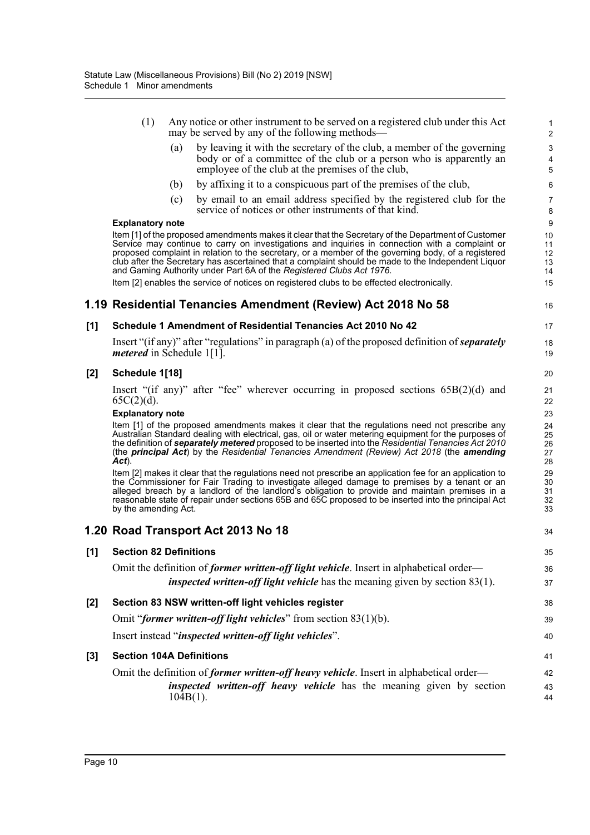|     | (1)                              |             | Any notice or other instrument to be served on a registered club under this Act<br>may be served by any of the following methods—                                                                                                                                                                                                                                                                                                                                                                                                                                                         | $\mathbf{1}$<br>$\overline{c}$   |
|-----|----------------------------------|-------------|-------------------------------------------------------------------------------------------------------------------------------------------------------------------------------------------------------------------------------------------------------------------------------------------------------------------------------------------------------------------------------------------------------------------------------------------------------------------------------------------------------------------------------------------------------------------------------------------|----------------------------------|
|     |                                  | (a)         | by leaving it with the secretary of the club, a member of the governing<br>body or of a committee of the club or a person who is apparently an<br>employee of the club at the premises of the club,                                                                                                                                                                                                                                                                                                                                                                                       | 3<br>4<br>5                      |
|     |                                  | (b)         | by affixing it to a conspicuous part of the premises of the club,                                                                                                                                                                                                                                                                                                                                                                                                                                                                                                                         | 6                                |
|     |                                  | (c)         | by email to an email address specified by the registered club for the<br>service of notices or other instruments of that kind.                                                                                                                                                                                                                                                                                                                                                                                                                                                            | $\overline{7}$<br>8              |
|     | <b>Explanatory note</b>          |             |                                                                                                                                                                                                                                                                                                                                                                                                                                                                                                                                                                                           | 9                                |
|     |                                  |             | Item [1] of the proposed amendments makes it clear that the Secretary of the Department of Customer<br>Service may continue to carry on investigations and inquiries in connection with a complaint or<br>proposed complaint in relation to the secretary, or a member of the governing body, of a registered<br>club after the Secretary has ascertained that a complaint should be made to the Independent Liquor<br>and Gaming Authority under Part 6A of the Registered Clubs Act 1976.<br>Item [2] enables the service of notices on registered clubs to be effected electronically. | 10<br>11<br>12<br>13<br>14<br>15 |
|     |                                  |             | 1.19 Residential Tenancies Amendment (Review) Act 2018 No 58                                                                                                                                                                                                                                                                                                                                                                                                                                                                                                                              | 16                               |
|     |                                  |             |                                                                                                                                                                                                                                                                                                                                                                                                                                                                                                                                                                                           |                                  |
| [1] |                                  |             | Schedule 1 Amendment of Residential Tenancies Act 2010 No 42                                                                                                                                                                                                                                                                                                                                                                                                                                                                                                                              | 17                               |
|     | <i>metered</i> in Schedule 1[1]. |             | Insert "(if any)" after "regulations" in paragraph (a) of the proposed definition of <b><i>separately</i></b>                                                                                                                                                                                                                                                                                                                                                                                                                                                                             | 18<br>19                         |
| [2] | Schedule 1[18]                   |             |                                                                                                                                                                                                                                                                                                                                                                                                                                                                                                                                                                                           | 20                               |
|     | $65C(2)(d)$ .                    |             | Insert "(if any)" after "fee" wherever occurring in proposed sections $65B(2)(d)$ and                                                                                                                                                                                                                                                                                                                                                                                                                                                                                                     | 21<br>22                         |
|     | <b>Explanatory note</b>          |             |                                                                                                                                                                                                                                                                                                                                                                                                                                                                                                                                                                                           | 23                               |
|     | $Act$ ).                         |             | Item [1] of the proposed amendments makes it clear that the regulations need not prescribe any<br>Australian Standard dealing with electrical, gas, oil or water metering equipment for the purposes of<br>the definition of separately metered proposed to be inserted into the Residential Tenancies Act 2010<br>(the principal Act) by the Residential Tenancies Amendment (Review) Act 2018 (the amending                                                                                                                                                                             | 24<br>25<br>26<br>27<br>28       |
|     | by the amending Act.             |             | Item [2] makes it clear that the regulations need not prescribe an application fee for an application to<br>the Commissioner for Fair Trading to investigate alleged damage to premises by a tenant or an<br>alleged breach by a landlord of the landlord's obligation to provide and maintain premises in a<br>reasonable state of repair under sections 65B and 65C proposed to be inserted into the principal Act                                                                                                                                                                      | 29<br>30<br>31<br>32<br>33       |
|     |                                  |             | 1.20 Road Transport Act 2013 No 18                                                                                                                                                                                                                                                                                                                                                                                                                                                                                                                                                        | 34                               |
| [1] | <b>Section 82 Definitions</b>    |             |                                                                                                                                                                                                                                                                                                                                                                                                                                                                                                                                                                                           | 35                               |
|     |                                  |             | Omit the definition of <i>former written-off light vehicle</i> . Insert in alphabetical order-<br>inspected written-off light vehicle has the meaning given by section 83(1).                                                                                                                                                                                                                                                                                                                                                                                                             | 36<br>37                         |
| [2] |                                  |             | Section 83 NSW written-off light vehicles register                                                                                                                                                                                                                                                                                                                                                                                                                                                                                                                                        | 38                               |
|     |                                  |             | Omit "former written-off light vehicles" from section 83(1)(b).                                                                                                                                                                                                                                                                                                                                                                                                                                                                                                                           | 39                               |
|     |                                  |             | Insert instead "inspected written-off light vehicles".                                                                                                                                                                                                                                                                                                                                                                                                                                                                                                                                    | 40                               |
| [3] | <b>Section 104A Definitions</b>  |             |                                                                                                                                                                                                                                                                                                                                                                                                                                                                                                                                                                                           | 41                               |
|     |                                  |             | Omit the definition of <i>former written-off heavy vehicle</i> . Insert in alphabetical order—                                                                                                                                                                                                                                                                                                                                                                                                                                                                                            | 42                               |
|     |                                  | $104B(1)$ . | inspected written-off heavy vehicle has the meaning given by section                                                                                                                                                                                                                                                                                                                                                                                                                                                                                                                      | 43<br>44                         |
|     |                                  |             |                                                                                                                                                                                                                                                                                                                                                                                                                                                                                                                                                                                           |                                  |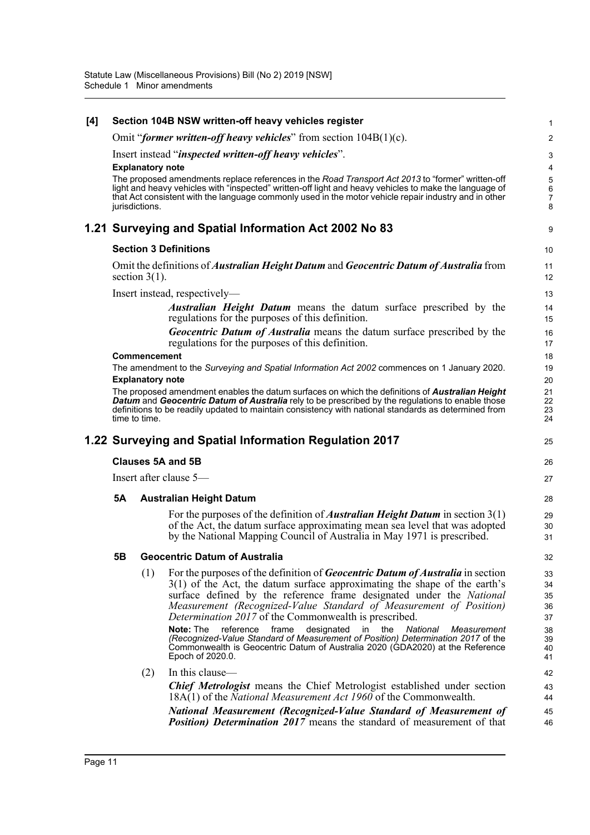| [4] |           |                         | Section 104B NSW written-off heavy vehicles register                                                                                                                                                                                                                                                                                                                      | 1                             |  |  |  |  |
|-----|-----------|-------------------------|---------------------------------------------------------------------------------------------------------------------------------------------------------------------------------------------------------------------------------------------------------------------------------------------------------------------------------------------------------------------------|-------------------------------|--|--|--|--|
|     |           |                         | Omit "former written-off heavy vehicles" from section $104B(1)(c)$ .                                                                                                                                                                                                                                                                                                      | 2                             |  |  |  |  |
|     |           |                         | Insert instead "inspected written-off heavy vehicles".                                                                                                                                                                                                                                                                                                                    | 3                             |  |  |  |  |
|     |           | <b>Explanatory note</b> |                                                                                                                                                                                                                                                                                                                                                                           |                               |  |  |  |  |
|     |           | jurisdictions.          | The proposed amendments replace references in the Road Transport Act 2013 to "former" written-off<br>light and heavy vehicles with "inspected" written-off light and heavy vehicles to make the language of<br>that Act consistent with the language commonly used in the motor vehicle repair industry and in other                                                      | 5<br>6<br>$\overline{7}$<br>8 |  |  |  |  |
|     |           |                         | 1.21 Surveying and Spatial Information Act 2002 No 83                                                                                                                                                                                                                                                                                                                     | 9                             |  |  |  |  |
|     |           |                         | <b>Section 3 Definitions</b>                                                                                                                                                                                                                                                                                                                                              | 10                            |  |  |  |  |
|     |           | section $3(1)$ .        | Omit the definitions of <i>Australian Height Datum</i> and <i>Geocentric Datum of Australia</i> from                                                                                                                                                                                                                                                                      | 11<br>12                      |  |  |  |  |
|     |           |                         | Insert instead, respectively—                                                                                                                                                                                                                                                                                                                                             | 13                            |  |  |  |  |
|     |           |                         | <b>Australian Height Datum</b> means the datum surface prescribed by the<br>regulations for the purposes of this definition.                                                                                                                                                                                                                                              | 14<br>15                      |  |  |  |  |
|     |           |                         | <b>Geocentric Datum of Australia</b> means the datum surface prescribed by the<br>regulations for the purposes of this definition.                                                                                                                                                                                                                                        | 16<br>17                      |  |  |  |  |
|     |           | Commencement            |                                                                                                                                                                                                                                                                                                                                                                           | 18                            |  |  |  |  |
|     |           | <b>Explanatory note</b> | The amendment to the Surveying and Spatial Information Act 2002 commences on 1 January 2020.                                                                                                                                                                                                                                                                              | 19<br>20                      |  |  |  |  |
|     |           |                         | The proposed amendment enables the datum surfaces on which the definitions of Australian Height<br>Datum and Geocentric Datum of Australia rely to be prescribed by the regulations to enable those<br>definitions to be readily updated to maintain consistency with national standards as determined from                                                               | 21<br>22<br>23                |  |  |  |  |
|     |           | time to time.           |                                                                                                                                                                                                                                                                                                                                                                           | 24                            |  |  |  |  |
|     |           |                         | 1.22 Surveying and Spatial Information Regulation 2017                                                                                                                                                                                                                                                                                                                    | 25                            |  |  |  |  |
|     |           |                         | Clauses 5A and 5B                                                                                                                                                                                                                                                                                                                                                         | 26                            |  |  |  |  |
|     |           |                         | Insert after clause 5-                                                                                                                                                                                                                                                                                                                                                    | 27                            |  |  |  |  |
|     | <b>5A</b> |                         | <b>Australian Height Datum</b>                                                                                                                                                                                                                                                                                                                                            | 28                            |  |  |  |  |
|     |           |                         | For the purposes of the definition of <i>Australian Height Datum</i> in section $3(1)$<br>of the Act, the datum surface approximating mean sea level that was adopted<br>by the National Mapping Council of Australia in May 1971 is prescribed.                                                                                                                          | 29<br>30<br>31                |  |  |  |  |
|     | 5Β        |                         | <b>Geocentric Datum of Australia</b>                                                                                                                                                                                                                                                                                                                                      | 32                            |  |  |  |  |
|     |           | (1)                     | For the purposes of the definition of <i>Geocentric Datum of Australia</i> in section<br>3(1) of the Act, the datum surface approximating the shape of the earth's<br>surface defined by the reference frame designated under the National<br>Measurement (Recognized-Value Standard of Measurement of Position)<br>Determination 2017 of the Commonwealth is prescribed. | 33<br>34<br>35<br>36<br>37    |  |  |  |  |
|     |           |                         | designated<br><b>Note: The</b><br>frame<br>in<br>the<br>National<br>reference<br>Measurement<br>(Recognized-Value Standard of Measurement of Position) Determination 2017 of the<br>Commonwealth is Geocentric Datum of Australia 2020 (GDA2020) at the Reference<br>Epoch of 2020.0.                                                                                     | 38<br>39<br>40<br>41          |  |  |  |  |
|     |           | (2)                     | In this clause-                                                                                                                                                                                                                                                                                                                                                           | 42                            |  |  |  |  |
|     |           |                         | <b>Chief Metrologist</b> means the Chief Metrologist established under section<br>18A(1) of the <i>National Measurement Act 1960</i> of the Commonwealth.                                                                                                                                                                                                                 | 43<br>44                      |  |  |  |  |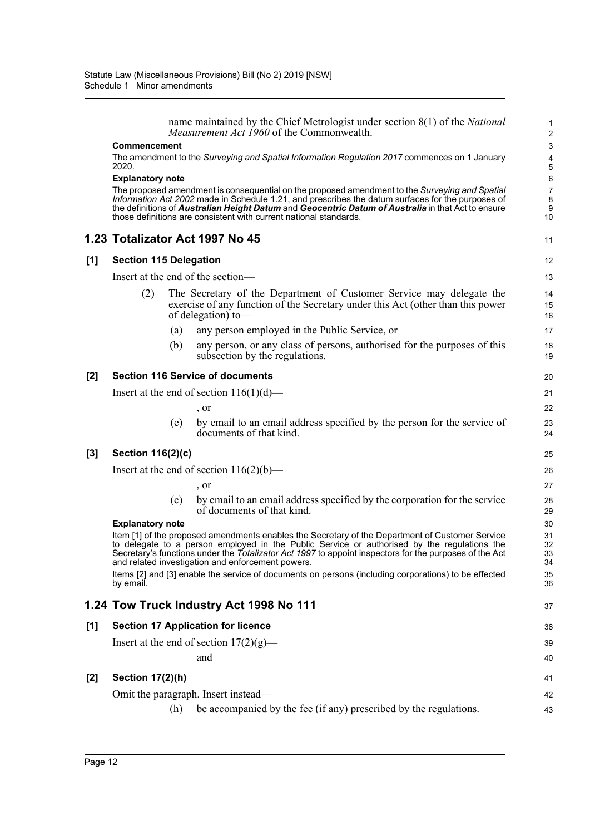name maintained by the Chief Metrologist under section 8(1) of the *National Measurement Act 1960* of the Commonwealth.

11

37

38 39 40

41  $12$ 43

#### **Commencement**

The amendment to the *Surveying and Spatial Information Regulation 2017* commences on 1 January 2020.

#### **Explanatory note**

The proposed amendment is consequential on the proposed amendment to the *Surveying and Spatial Information Act 2002* made in Schedule 1.21, and prescribes the datum surfaces for the purposes of the definitions of *Australian Height Datum* and *Geocentric Datum of Australia* in that Act to ensure those definitions are consistent with current national standards.

### **1.23 Totalizator Act 1997 No 45**

#### **[1] Section 115 Delegation**

Insert at the end of the section—

- (2) The Secretary of the Department of Customer Service may delegate the exercise of any function of the Secretary under this Act (other than this power of delegation) to—
	- (a) any person employed in the Public Service, or
	- (b) any person, or any class of persons, authorised for the purposes of this subsection by the regulations.

#### **[2] Section 116 Service of documents**

Insert at the end of section  $116(1)(d)$ — , or (e) by email to an email address specified by the person for the service of documents of that kind.

#### **[3] Section 116(2)(c)**

Insert at the end of section  $116(2)(b)$ —

, or

(c) by email to an email address specified by the corporation for the service of documents of that kind.

#### **Explanatory note**

Item [1] of the proposed amendments enables the Secretary of the Department of Customer Service to delegate to a person employed in the Public Service or authorised by the regulations the Secretary's functions under the *Totalizator Act 1997* to appoint inspectors for the purposes of the Act and related investigation and enforcement powers. Items [2] and [3] enable the service of documents on persons (including corporations) to be effected by email.

#### **1.24 Tow Truck Industry Act 1998 No 111**

### **[1] Section 17 Application for licence**

Insert at the end of section  $17(2)(g)$ —

and

### **[2] Section 17(2)(h)**

Omit the paragraph. Insert instead—

(h) be accompanied by the fee (if any) prescribed by the regulations.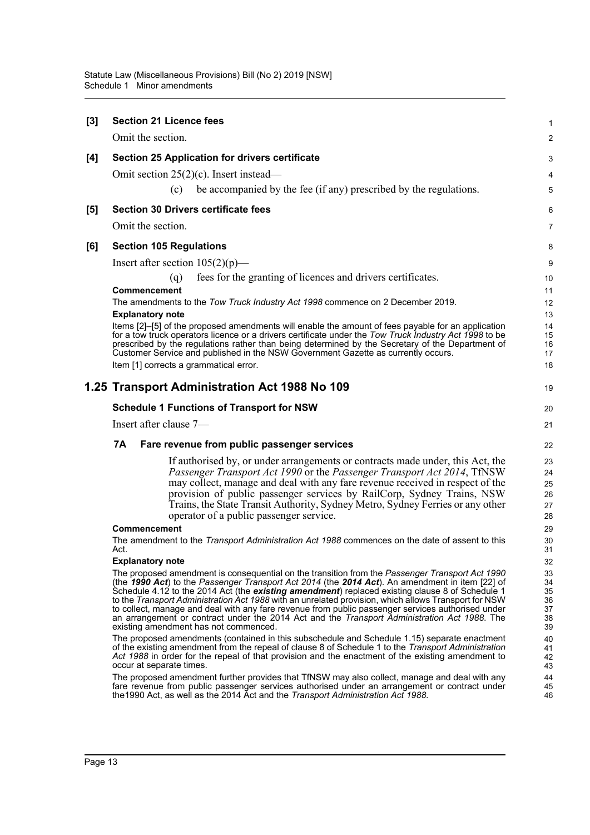| $[3]$ | <b>Section 21 Licence fees</b>                                                                                                                                                                               | 1              |
|-------|--------------------------------------------------------------------------------------------------------------------------------------------------------------------------------------------------------------|----------------|
|       | Omit the section.                                                                                                                                                                                            | $\mathbf{2}$   |
| [4]   | <b>Section 25 Application for drivers certificate</b>                                                                                                                                                        | 3              |
|       | Omit section $25(2)(c)$ . Insert instead—                                                                                                                                                                    | 4              |
|       | be accompanied by the fee (if any) prescribed by the regulations.<br>(c)                                                                                                                                     | 5              |
| [5]   | <b>Section 30 Drivers certificate fees</b>                                                                                                                                                                   | 6              |
|       | Omit the section.                                                                                                                                                                                            | $\overline{7}$ |
| [6]   | <b>Section 105 Regulations</b>                                                                                                                                                                               | 8              |
|       | Insert after section $105(2)(p)$ —                                                                                                                                                                           | 9              |
|       | fees for the granting of licences and drivers certificates.<br>(q)                                                                                                                                           | 10             |
|       | Commencement                                                                                                                                                                                                 | 11             |
|       | The amendments to the Tow Truck Industry Act 1998 commence on 2 December 2019.                                                                                                                               | 12             |
|       | <b>Explanatory note</b>                                                                                                                                                                                      | 13             |
|       | Items [2]-[5] of the proposed amendments will enable the amount of fees payable for an application<br>for a tow truck operators licence or a drivers certificate under the Tow Truck Industry Act 1998 to be | 14<br>15       |
|       | prescribed by the regulations rather than being determined by the Secretary of the Department of                                                                                                             | 16             |
|       | Customer Service and published in the NSW Government Gazette as currently occurs.<br>Item [1] corrects a grammatical error.                                                                                  | 17<br>18       |
|       |                                                                                                                                                                                                              |                |
|       | 1.25 Transport Administration Act 1988 No 109                                                                                                                                                                | 19             |
|       | <b>Schedule 1 Functions of Transport for NSW</b>                                                                                                                                                             | 20             |
|       | Insert after clause 7-                                                                                                                                                                                       | 21             |
|       | 7A<br>Fare revenue from public passenger services                                                                                                                                                            | 22             |
|       | If authorised by, or under arrangements or contracts made under, this Act, the                                                                                                                               | 23             |
|       | Passenger Transport Act 1990 or the Passenger Transport Act 2014, TfNSW                                                                                                                                      | 24             |
|       | may collect, manage and deal with any fare revenue received in respect of the                                                                                                                                | 25             |
|       | provision of public passenger services by RailCorp, Sydney Trains, NSW<br>Trains, the State Transit Authority, Sydney Metro, Sydney Ferries or any other                                                     | 26<br>27       |
|       | operator of a public passenger service.                                                                                                                                                                      | 28             |
|       | Commencement                                                                                                                                                                                                 | 29             |
|       | The amendment to the Transport Administration Act 1988 commences on the date of assent to this                                                                                                               | 30             |
|       | Act.<br><b>Explanatory note</b>                                                                                                                                                                              | 31<br>32       |
|       | The proposed amendment is consequential on the transition from the Passenger Transport Act 1990                                                                                                              | 33             |
|       | (the <b>1990 Act</b> ) to the <i>Passenger Transport Act 2014</i> (the <b>2014 Act</b> ). An amendment in item [22] of                                                                                       | 34             |
|       | Schedule 4.12 to the 2014 Act (the existing amendment) replaced existing clause 8 of Schedule 1<br>to the Transport Administration Act 1988 with an unrelated provision, which allows Transport for NSW      | 35<br>36       |
|       | to collect, manage and deal with any fare revenue from public passenger services authorised under                                                                                                            | 37             |
|       | an arrangement or contract under the 2014 Act and the <i>Transport Administration Act 1988</i> . The<br>existing amendment has not commenced.                                                                | 38<br>39       |
|       | The proposed amendments (contained in this subschedule and Schedule 1.15) separate enactment                                                                                                                 | 40             |
|       | of the existing amendment from the repeal of clause 8 of Schedule 1 to the Transport Administration<br>Act 1988 in order for the repeal of that provision and the enactment of the existing amendment to     | 41<br>42       |
|       | occur at separate times.                                                                                                                                                                                     | 43             |
|       | The proposed amendment further provides that TfNSW may also collect, manage and deal with any                                                                                                                | 44             |
|       | fare revenue from public passenger services authorised under an arrangement or contract under                                                                                                                | 45             |
|       | the 1990 Act, as well as the 2014 Act and the Transport Administration Act 1988.                                                                                                                             | 46             |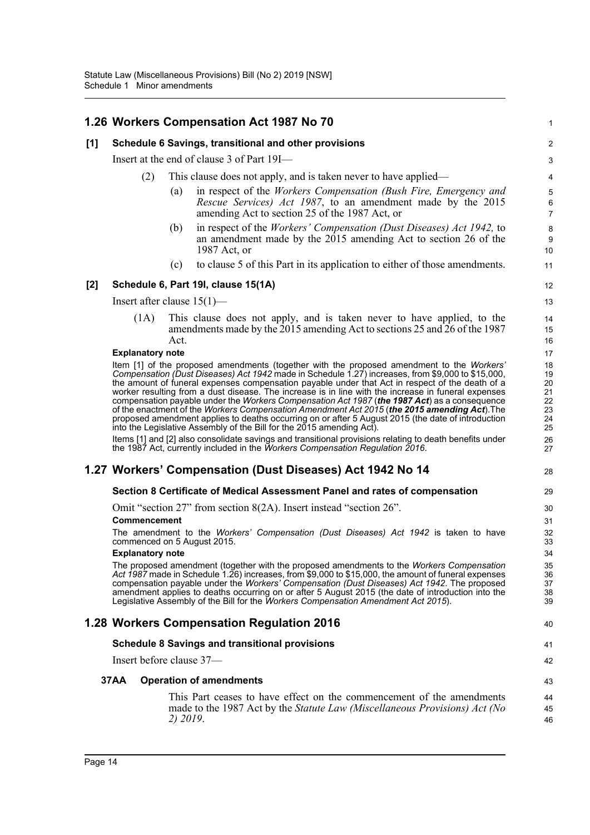|       |      |                         |          | 1.26 Workers Compensation Act 1987 No 70                                                                                                                                                                                                                                                                                                                                                                                                                                                                                                                                                                                                                                                                                                                                                                                                                                                                                                                                            | 1                                                        |
|-------|------|-------------------------|----------|-------------------------------------------------------------------------------------------------------------------------------------------------------------------------------------------------------------------------------------------------------------------------------------------------------------------------------------------------------------------------------------------------------------------------------------------------------------------------------------------------------------------------------------------------------------------------------------------------------------------------------------------------------------------------------------------------------------------------------------------------------------------------------------------------------------------------------------------------------------------------------------------------------------------------------------------------------------------------------------|----------------------------------------------------------|
| [1]   |      |                         |          | Schedule 6 Savings, transitional and other provisions                                                                                                                                                                                                                                                                                                                                                                                                                                                                                                                                                                                                                                                                                                                                                                                                                                                                                                                               | $\overline{2}$                                           |
|       |      |                         |          | Insert at the end of clause 3 of Part 19I—                                                                                                                                                                                                                                                                                                                                                                                                                                                                                                                                                                                                                                                                                                                                                                                                                                                                                                                                          | 3                                                        |
|       |      | (2)                     |          | This clause does not apply, and is taken never to have applied—                                                                                                                                                                                                                                                                                                                                                                                                                                                                                                                                                                                                                                                                                                                                                                                                                                                                                                                     | 4                                                        |
|       |      |                         | (a)      | in respect of the Workers Compensation (Bush Fire, Emergency and<br>Rescue Services) Act 1987, to an amendment made by the 2015<br>amending Act to section 25 of the 1987 Act, or                                                                                                                                                                                                                                                                                                                                                                                                                                                                                                                                                                                                                                                                                                                                                                                                   | $\mathbf 5$<br>6<br>$\overline{7}$                       |
|       |      |                         | (b)      | in respect of the <i>Workers' Compensation (Dust Diseases) Act 1942</i> , to<br>an amendment made by the $2015$ amending Act to section 26 of the<br>1987 Act, or                                                                                                                                                                                                                                                                                                                                                                                                                                                                                                                                                                                                                                                                                                                                                                                                                   | 8<br>9<br>10                                             |
|       |      |                         | (c)      | to clause 5 of this Part in its application to either of those amendments.                                                                                                                                                                                                                                                                                                                                                                                                                                                                                                                                                                                                                                                                                                                                                                                                                                                                                                          | 11                                                       |
| $[2]$ |      |                         |          | Schedule 6, Part 19I, clause 15(1A)                                                                                                                                                                                                                                                                                                                                                                                                                                                                                                                                                                                                                                                                                                                                                                                                                                                                                                                                                 | 12                                                       |
|       |      |                         |          | Insert after clause $15(1)$ —                                                                                                                                                                                                                                                                                                                                                                                                                                                                                                                                                                                                                                                                                                                                                                                                                                                                                                                                                       | 13                                                       |
|       |      | (1A)                    | Act.     | This clause does not apply, and is taken never to have applied, to the<br>amendments made by the 2015 amending Act to sections 25 and 26 of the 1987                                                                                                                                                                                                                                                                                                                                                                                                                                                                                                                                                                                                                                                                                                                                                                                                                                | 14<br>15<br>16                                           |
|       |      | <b>Explanatory note</b> |          |                                                                                                                                                                                                                                                                                                                                                                                                                                                                                                                                                                                                                                                                                                                                                                                                                                                                                                                                                                                     | 17                                                       |
|       |      |                         |          | Item [1] of the proposed amendments (together with the proposed amendment to the Workers'<br>Compensation (Dust Diseases) Act 1942 made in Schedule 1.27) increases, from \$9,000 to \$15,000,<br>the amount of funeral expenses compensation payable under that Act in respect of the death of a<br>worker resulting from a dust disease. The increase is in line with the increase in funeral expenses<br>compensation payable under the Workers Compensation Act 1987 (the 1987 Act) as a consequence<br>of the enactment of the Workers Compensation Amendment Act 2015 (the 2015 amending Act). The<br>proposed amendment applies to deaths occurring on or after 5 August 2015 (the date of introduction<br>into the Legislative Assembly of the Bill for the 2015 amending Act).<br>Items [1] and [2] also consolidate savings and transitional provisions relating to death benefits under<br>the 1987 Act, currently included in the Workers Compensation Regulation 2016. | 18<br>19<br>20<br>21<br>22<br>23<br>24<br>25<br>26<br>27 |
|       |      |                         |          | 1.27 Workers' Compensation (Dust Diseases) Act 1942 No 14                                                                                                                                                                                                                                                                                                                                                                                                                                                                                                                                                                                                                                                                                                                                                                                                                                                                                                                           | 28                                                       |
|       |      |                         |          | Section 8 Certificate of Medical Assessment Panel and rates of compensation                                                                                                                                                                                                                                                                                                                                                                                                                                                                                                                                                                                                                                                                                                                                                                                                                                                                                                         | 29                                                       |
|       |      |                         |          | Omit "section $27$ " from section $8(2A)$ . Insert instead "section $26$ ".                                                                                                                                                                                                                                                                                                                                                                                                                                                                                                                                                                                                                                                                                                                                                                                                                                                                                                         | 30                                                       |
|       |      | <b>Commencement</b>     |          |                                                                                                                                                                                                                                                                                                                                                                                                                                                                                                                                                                                                                                                                                                                                                                                                                                                                                                                                                                                     | 31                                                       |
|       |      |                         |          | The amendment to the Workers' Compensation (Dust Diseases) Act 1942 is taken to have<br>commenced on 5 August 2015.                                                                                                                                                                                                                                                                                                                                                                                                                                                                                                                                                                                                                                                                                                                                                                                                                                                                 | 32<br>33                                                 |
|       |      | <b>Explanatory note</b> |          |                                                                                                                                                                                                                                                                                                                                                                                                                                                                                                                                                                                                                                                                                                                                                                                                                                                                                                                                                                                     | 34                                                       |
|       |      |                         |          | The proposed amendment (together with the proposed amendments to the Workers Compensation<br>Act 1987 made in Schedule 1.26) increases, from \$9,000 to \$15,000, the amount of funeral expenses<br>compensation payable under the Workers' Compensation (Dust Diseases) Act 1942. The proposed<br>amendment applies to deaths occurring on or after 5 August 2015 (the date of introduction into the<br>Legislative Assembly of the Bill for the Workers Compensation Amendment Act 2015).                                                                                                                                                                                                                                                                                                                                                                                                                                                                                         | 35<br>36<br>37<br>38<br>39                               |
|       |      |                         |          | 1.28 Workers Compensation Regulation 2016                                                                                                                                                                                                                                                                                                                                                                                                                                                                                                                                                                                                                                                                                                                                                                                                                                                                                                                                           | 40                                                       |
|       |      |                         |          | <b>Schedule 8 Savings and transitional provisions</b>                                                                                                                                                                                                                                                                                                                                                                                                                                                                                                                                                                                                                                                                                                                                                                                                                                                                                                                               | 41                                                       |
|       |      |                         |          | Insert before clause 37—                                                                                                                                                                                                                                                                                                                                                                                                                                                                                                                                                                                                                                                                                                                                                                                                                                                                                                                                                            | 42                                                       |
|       | 37AA |                         |          | <b>Operation of amendments</b>                                                                                                                                                                                                                                                                                                                                                                                                                                                                                                                                                                                                                                                                                                                                                                                                                                                                                                                                                      | 43                                                       |
|       |      |                         | 2) 2019. | This Part ceases to have effect on the commencement of the amendments<br>made to the 1987 Act by the <i>Statute Law (Miscellaneous Provisions) Act (No</i>                                                                                                                                                                                                                                                                                                                                                                                                                                                                                                                                                                                                                                                                                                                                                                                                                          | 44<br>45<br>46                                           |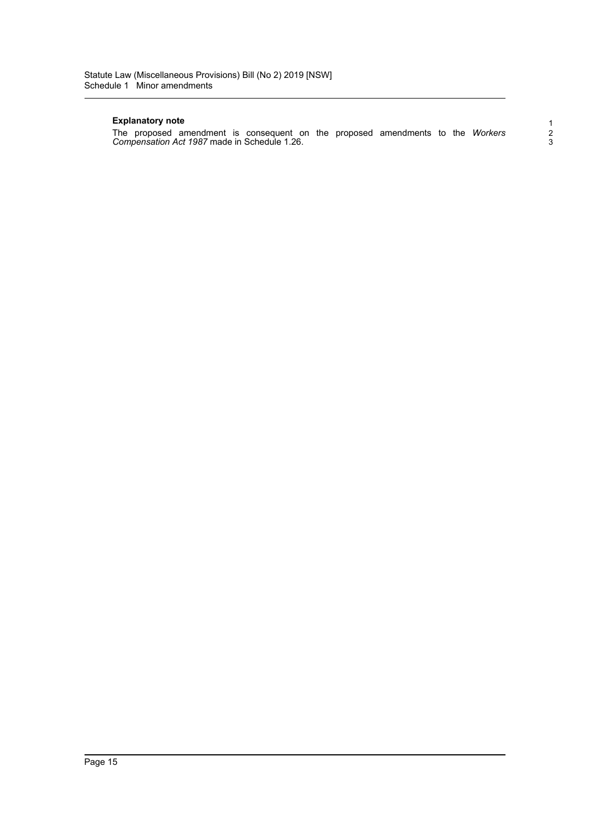#### **Explanatory note**

The proposed amendment is consequent on the proposed amendments to the *Workers Compensation Act 1987* made in Schedule 1.26.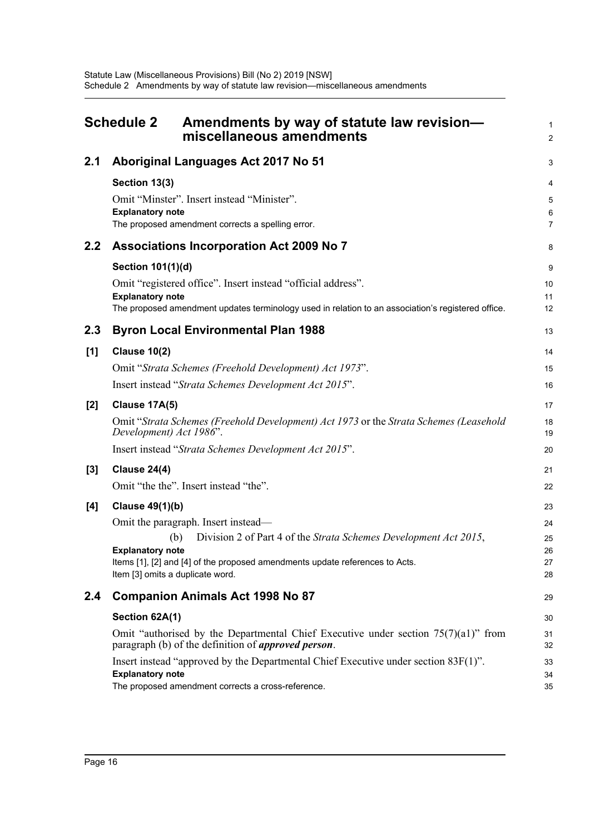<span id="page-18-0"></span>

| <b>Schedule 2</b><br>Amendments by way of statute law revision-<br>miscellaneous amendments |                                                                                                                                                                                                                                                                                         | 1<br>$\overline{a}$              |
|---------------------------------------------------------------------------------------------|-----------------------------------------------------------------------------------------------------------------------------------------------------------------------------------------------------------------------------------------------------------------------------------------|----------------------------------|
| 2.1                                                                                         | Aboriginal Languages Act 2017 No 51                                                                                                                                                                                                                                                     | 3                                |
|                                                                                             | Section 13(3)<br>Omit "Minster". Insert instead "Minister".<br><b>Explanatory note</b><br>The proposed amendment corrects a spelling error.                                                                                                                                             | 4<br>5<br>6<br>$\overline{7}$    |
| 2.2                                                                                         | <b>Associations Incorporation Act 2009 No 7</b>                                                                                                                                                                                                                                         | 8                                |
|                                                                                             | Section 101(1)(d)<br>Omit "registered office". Insert instead "official address".<br><b>Explanatory note</b><br>The proposed amendment updates terminology used in relation to an association's registered office.                                                                      | 9<br>10<br>11<br>12              |
| 2.3                                                                                         | <b>Byron Local Environmental Plan 1988</b>                                                                                                                                                                                                                                              | 13                               |
| [1]                                                                                         | <b>Clause 10(2)</b>                                                                                                                                                                                                                                                                     | 14                               |
|                                                                                             | Omit "Strata Schemes (Freehold Development) Act 1973".                                                                                                                                                                                                                                  | 15                               |
|                                                                                             | Insert instead "Strata Schemes Development Act 2015".                                                                                                                                                                                                                                   | 16                               |
| $[2]$                                                                                       | <b>Clause 17A(5)</b>                                                                                                                                                                                                                                                                    | 17                               |
|                                                                                             | Omit "Strata Schemes (Freehold Development) Act 1973 or the Strata Schemes (Leasehold<br>Development) Act 1986".                                                                                                                                                                        | 18<br>19                         |
|                                                                                             | Insert instead "Strata Schemes Development Act 2015".                                                                                                                                                                                                                                   | 20                               |
| $[3]$                                                                                       | <b>Clause 24(4)</b>                                                                                                                                                                                                                                                                     | 21                               |
|                                                                                             | Omit "the the". Insert instead "the".                                                                                                                                                                                                                                                   | 22                               |
| [4]                                                                                         | <b>Clause 49(1)(b)</b><br>Omit the paragraph. Insert instead—<br>Division 2 of Part 4 of the Strata Schemes Development Act 2015,<br>(b)<br><b>Explanatory note</b><br>Items [1], [2] and [4] of the proposed amendments update references to Acts.<br>Item [3] omits a duplicate word. | 23<br>24<br>25<br>26<br>27<br>28 |
| 2.4                                                                                         | <b>Companion Animals Act 1998 No 87</b>                                                                                                                                                                                                                                                 | 29                               |
|                                                                                             | Section 62A(1)                                                                                                                                                                                                                                                                          | 30                               |
|                                                                                             | Omit "authorised by the Departmental Chief Executive under section $75(7)(a1)$ " from<br>paragraph (b) of the definition of <i>approved person</i> .                                                                                                                                    | 31<br>32                         |
|                                                                                             | Insert instead "approved by the Departmental Chief Executive under section $83F(1)$ ".<br><b>Explanatory note</b><br>The proposed amendment corrects a cross-reference.                                                                                                                 | 33<br>34<br>35                   |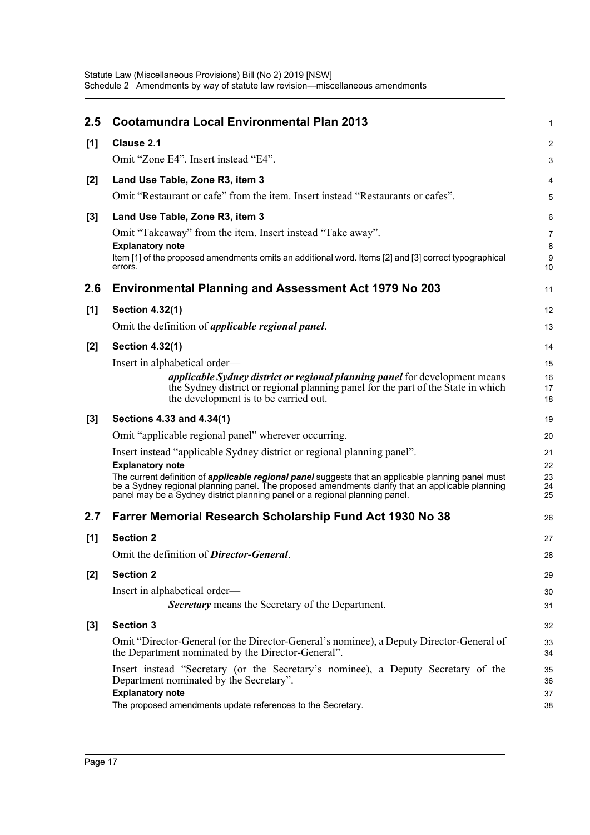| 2.5   | <b>Cootamundra Local Environmental Plan 2013</b>                                                                                                                                                                                                                                              | $\mathbf{1}$   |
|-------|-----------------------------------------------------------------------------------------------------------------------------------------------------------------------------------------------------------------------------------------------------------------------------------------------|----------------|
| [1]   | Clause 2.1                                                                                                                                                                                                                                                                                    | 2              |
|       | Omit "Zone E4". Insert instead "E4".                                                                                                                                                                                                                                                          | $\mathbf{3}$   |
| $[2]$ | Land Use Table, Zone R3, item 3                                                                                                                                                                                                                                                               | 4              |
|       | Omit "Restaurant or cafe" from the item. Insert instead "Restaurants or cafes".                                                                                                                                                                                                               | 5              |
| $[3]$ | Land Use Table, Zone R3, item 3                                                                                                                                                                                                                                                               | 6              |
|       | Omit "Takeaway" from the item. Insert instead "Take away".                                                                                                                                                                                                                                    | $\overline{7}$ |
|       | <b>Explanatory note</b><br>Item [1] of the proposed amendments omits an additional word. Items [2] and [3] correct typographical<br>errors.                                                                                                                                                   | 8<br>9<br>10   |
| 2.6   | <b>Environmental Planning and Assessment Act 1979 No 203</b>                                                                                                                                                                                                                                  | 11             |
| [1]   | <b>Section 4.32(1)</b>                                                                                                                                                                                                                                                                        | 12             |
|       | Omit the definition of <i>applicable regional panel</i> .                                                                                                                                                                                                                                     | 13             |
| $[2]$ | <b>Section 4.32(1)</b>                                                                                                                                                                                                                                                                        | 14             |
|       | Insert in alphabetical order—                                                                                                                                                                                                                                                                 | 15             |
|       | <i>applicable Sydney district or regional planning panel</i> for development means<br>the Sydney district or regional planning panel for the part of the State in which<br>the development is to be carried out.                                                                              | 16<br>17<br>18 |
| $[3]$ | Sections 4.33 and 4.34(1)                                                                                                                                                                                                                                                                     | 19             |
|       | Omit "applicable regional panel" wherever occurring.                                                                                                                                                                                                                                          | 20             |
|       | Insert instead "applicable Sydney district or regional planning panel".<br><b>Explanatory note</b>                                                                                                                                                                                            | 21<br>22       |
|       | The current definition of <i>applicable regional panel</i> suggests that an applicable planning panel must<br>be a Sydney regional planning panel. The proposed amendments clarify that an applicable planning<br>panel may be a Sydney district planning panel or a regional planning panel. | 23<br>24<br>25 |
| 2.7   | Farrer Memorial Research Scholarship Fund Act 1930 No 38                                                                                                                                                                                                                                      | 26             |
| [1]   | <b>Section 2</b>                                                                                                                                                                                                                                                                              | 27             |
|       | Omit the definition of <b>Director-General</b> .                                                                                                                                                                                                                                              | 28             |
| $[2]$ | <b>Section 2</b>                                                                                                                                                                                                                                                                              | 29             |
|       | Insert in alphabetical order—                                                                                                                                                                                                                                                                 | 30             |
|       | <b>Secretary</b> means the Secretary of the Department.                                                                                                                                                                                                                                       | 31             |
| $[3]$ | <b>Section 3</b>                                                                                                                                                                                                                                                                              | 32             |
|       | Omit "Director-General (or the Director-General's nominee), a Deputy Director-General of<br>the Department nominated by the Director-General".                                                                                                                                                | 33<br>34       |
|       | Insert instead "Secretary (or the Secretary's nominee), a Deputy Secretary of the<br>Department nominated by the Secretary".                                                                                                                                                                  | 35<br>36       |
|       | <b>Explanatory note</b>                                                                                                                                                                                                                                                                       | 37             |
|       | The proposed amendments update references to the Secretary.                                                                                                                                                                                                                                   | 38             |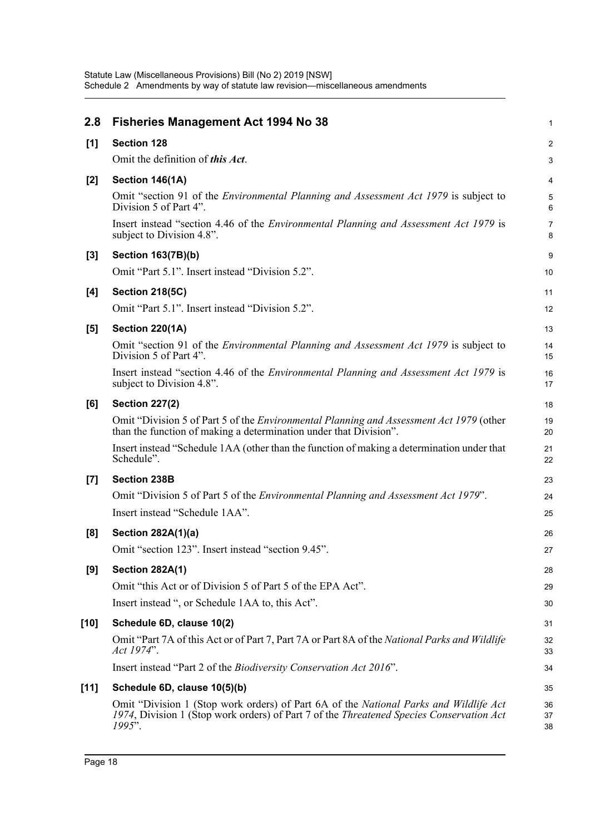| 2.8    | <b>Fisheries Management Act 1994 No 38</b>                                                                                                                                                            | 1              |
|--------|-------------------------------------------------------------------------------------------------------------------------------------------------------------------------------------------------------|----------------|
| $[1]$  | <b>Section 128</b>                                                                                                                                                                                    | $\overline{c}$ |
|        | Omit the definition of this Act.                                                                                                                                                                      | 3              |
| [2]    | Section 146(1A)                                                                                                                                                                                       | 4              |
|        | Omit "section 91 of the <i>Environmental Planning and Assessment Act 1979</i> is subject to<br>Division 5 of Part 4".                                                                                 | 5<br>6         |
|        | Insert instead "section 4.46 of the <i>Environmental Planning and Assessment Act 1979</i> is<br>subject to Division 4.8".                                                                             | 7<br>8         |
| $[3]$  | <b>Section 163(7B)(b)</b>                                                                                                                                                                             | 9              |
|        | Omit "Part 5.1". Insert instead "Division 5.2".                                                                                                                                                       | 10             |
| [4]    | <b>Section 218(5C)</b>                                                                                                                                                                                | 11             |
|        | Omit "Part 5.1". Insert instead "Division 5.2".                                                                                                                                                       | 12             |
| [5]    | <b>Section 220(1A)</b>                                                                                                                                                                                | 13             |
|        | Omit "section 91 of the <i>Environmental Planning and Assessment Act 1979</i> is subject to<br>Division 5 of Part 4".                                                                                 | 14<br>15       |
|        | Insert instead "section 4.46 of the <i>Environmental Planning and Assessment Act 1979</i> is<br>subject to Division 4.8".                                                                             | 16<br>17       |
| [6]    | <b>Section 227(2)</b>                                                                                                                                                                                 | 18             |
|        | Omit "Division 5 of Part 5 of the <i>Environmental Planning and Assessment Act 1979</i> (other<br>than the function of making a determination under that Division".                                   | 19<br>20       |
|        | Insert instead "Schedule 1AA (other than the function of making a determination under that<br>Schedule".                                                                                              | 21<br>22       |
| $[7]$  | <b>Section 238B</b>                                                                                                                                                                                   | 23             |
|        | Omit "Division 5 of Part 5 of the <i>Environmental Planning and Assessment Act 1979</i> ".                                                                                                            | 24             |
|        | Insert instead "Schedule 1AA".                                                                                                                                                                        | 25             |
| [8]    | <b>Section 282A(1)(a)</b>                                                                                                                                                                             | 26             |
|        | Omit "section 123". Insert instead "section 9.45".                                                                                                                                                    | 27             |
| [9]    | <b>Section 282A(1)</b>                                                                                                                                                                                | 28             |
|        | Omit "this Act or of Division 5 of Part 5 of the EPA Act".                                                                                                                                            | 29             |
|        | Insert instead ", or Schedule 1AA to, this Act".                                                                                                                                                      | 30             |
| [10]   | Schedule 6D, clause 10(2)                                                                                                                                                                             | 31             |
|        | Omit "Part 7A of this Act or of Part 7, Part 7A or Part 8A of the National Parks and Wildlife<br>Act 1974".                                                                                           | 32<br>33       |
|        | Insert instead "Part 2 of the Biodiversity Conservation Act 2016".                                                                                                                                    | 34             |
| $[11]$ | Schedule 6D, clause 10(5)(b)                                                                                                                                                                          | 35             |
|        | Omit "Division 1 (Stop work orders) of Part 6A of the National Parks and Wildlife Act<br>1974, Division 1 (Stop work orders) of Part 7 of the <i>Threatened Species Conservation Act</i><br>$1995$ ". | 36<br>37<br>38 |
|        |                                                                                                                                                                                                       |                |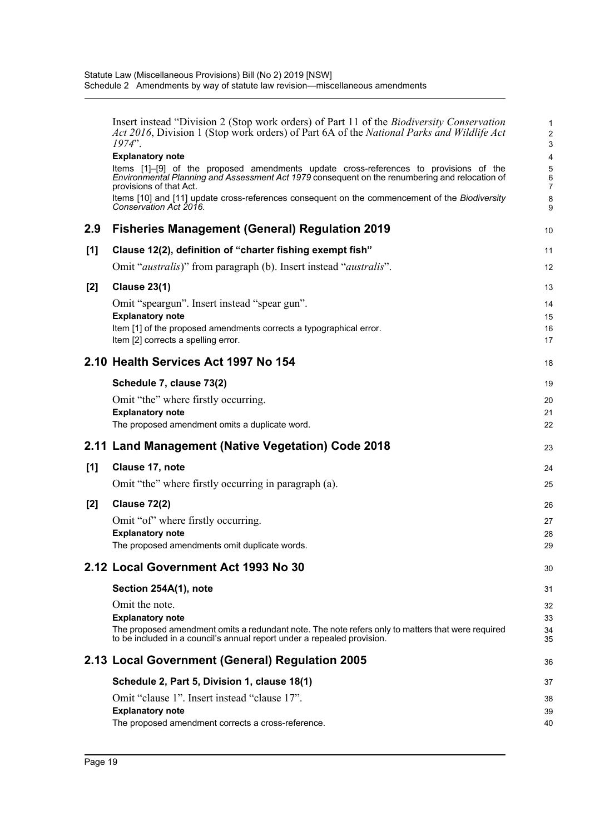|       | Insert instead "Division 2 (Stop work orders) of Part 11 of the <i>Biodiversity Conservation</i><br>Act 2016, Division 1 (Stop work orders) of Part 6A of the National Parks and Wildlife Act<br>$1974$ ".         | 1<br>$\overline{2}$<br>3 |
|-------|--------------------------------------------------------------------------------------------------------------------------------------------------------------------------------------------------------------------|--------------------------|
|       | <b>Explanatory note</b>                                                                                                                                                                                            | 4                        |
|       | Items [1]-[9] of the proposed amendments update cross-references to provisions of the<br>Environmental Planning and Assessment Act 1979 consequent on the renumbering and relocation of<br>provisions of that Act. | 5<br>6<br>7              |
|       | Items [10] and [11] update cross-references consequent on the commencement of the Biodiversity<br>Conservation Act 2016.                                                                                           | 8<br>9                   |
| 2.9   | <b>Fisheries Management (General) Regulation 2019</b>                                                                                                                                                              | 10                       |
| [1]   | Clause 12(2), definition of "charter fishing exempt fish"                                                                                                                                                          | 11                       |
|       | Omit " <i>australis</i> )" from paragraph (b). Insert instead " <i>australis</i> ".                                                                                                                                | 12                       |
| $[2]$ | <b>Clause 23(1)</b>                                                                                                                                                                                                | 13                       |
|       | Omit "speargun". Insert instead "spear gun".                                                                                                                                                                       | 14                       |
|       | <b>Explanatory note</b>                                                                                                                                                                                            | 15                       |
|       | Item [1] of the proposed amendments corrects a typographical error.                                                                                                                                                | 16                       |
|       | Item [2] corrects a spelling error.                                                                                                                                                                                | 17                       |
|       | 2.10 Health Services Act 1997 No 154                                                                                                                                                                               | 18                       |
|       | Schedule 7, clause 73(2)                                                                                                                                                                                           | 19                       |
|       | Omit "the" where firstly occurring.                                                                                                                                                                                | 20                       |
|       | <b>Explanatory note</b>                                                                                                                                                                                            | 21                       |
|       | The proposed amendment omits a duplicate word.                                                                                                                                                                     | 22                       |
|       | 2.11 Land Management (Native Vegetation) Code 2018                                                                                                                                                                 | 23                       |
| [1]   | Clause 17, note                                                                                                                                                                                                    | 24                       |
|       | Omit "the" where firstly occurring in paragraph (a).                                                                                                                                                               | 25                       |
| [2]   | <b>Clause 72(2)</b>                                                                                                                                                                                                | 26                       |
|       | Omit "of" where firstly occurring.                                                                                                                                                                                 | 27                       |
|       | <b>Explanatory note</b>                                                                                                                                                                                            | 28                       |
|       | The proposed amendments omit duplicate words.                                                                                                                                                                      | 29                       |
|       | 2.12 Local Government Act 1993 No 30                                                                                                                                                                               | 30                       |
|       | Section 254A(1), note                                                                                                                                                                                              | 31                       |
|       | Omit the note.                                                                                                                                                                                                     | 32                       |
|       | <b>Explanatory note</b>                                                                                                                                                                                            | 33                       |
|       | The proposed amendment omits a redundant note. The note refers only to matters that were required<br>to be included in a council's annual report under a repealed provision.                                       | 34<br>35                 |
|       | 2.13 Local Government (General) Regulation 2005                                                                                                                                                                    | 36                       |
|       | Schedule 2, Part 5, Division 1, clause 18(1)                                                                                                                                                                       | 37                       |
|       | Omit "clause 1". Insert instead "clause 17".                                                                                                                                                                       | 38                       |
|       | <b>Explanatory note</b>                                                                                                                                                                                            | 39                       |
|       | The proposed amendment corrects a cross-reference.                                                                                                                                                                 | 40                       |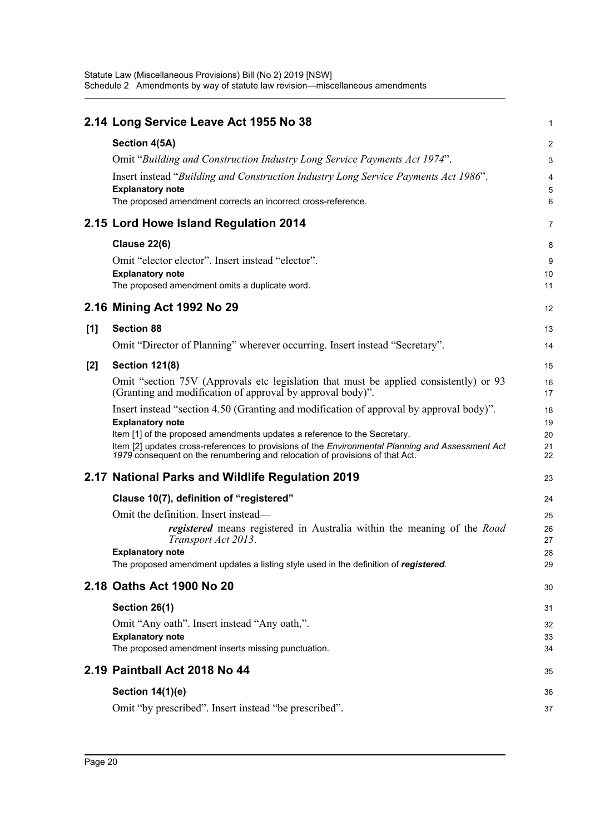|       | 2.14 Long Service Leave Act 1955 No 38                                                                                                                                                                                                                                                                                                                                              | 1                          |
|-------|-------------------------------------------------------------------------------------------------------------------------------------------------------------------------------------------------------------------------------------------------------------------------------------------------------------------------------------------------------------------------------------|----------------------------|
|       | Section 4(5A)                                                                                                                                                                                                                                                                                                                                                                       | $\overline{2}$             |
|       | Omit "Building and Construction Industry Long Service Payments Act 1974".                                                                                                                                                                                                                                                                                                           | 3                          |
|       | Insert instead "Building and Construction Industry Long Service Payments Act 1986".<br><b>Explanatory note</b><br>The proposed amendment corrects an incorrect cross-reference.                                                                                                                                                                                                     | 4<br>5<br>6                |
|       | 2.15 Lord Howe Island Regulation 2014                                                                                                                                                                                                                                                                                                                                               | 7                          |
|       | <b>Clause 22(6)</b>                                                                                                                                                                                                                                                                                                                                                                 | 8                          |
|       | Omit "elector elector". Insert instead "elector".<br><b>Explanatory note</b>                                                                                                                                                                                                                                                                                                        | 9<br>10                    |
|       | The proposed amendment omits a duplicate word.                                                                                                                                                                                                                                                                                                                                      | 11                         |
|       | 2.16 Mining Act 1992 No 29                                                                                                                                                                                                                                                                                                                                                          | 12                         |
| [1]   | <b>Section 88</b>                                                                                                                                                                                                                                                                                                                                                                   | 13                         |
|       | Omit "Director of Planning" wherever occurring. Insert instead "Secretary".                                                                                                                                                                                                                                                                                                         | 14                         |
| $[2]$ | <b>Section 121(8)</b>                                                                                                                                                                                                                                                                                                                                                               | 15                         |
|       | Omit "section 75V (Approvals etc legislation that must be applied consistently) or 93<br>(Granting and modification of approval by approval body)".                                                                                                                                                                                                                                 | 16<br>17                   |
|       | Insert instead "section 4.50 (Granting and modification of approval by approval body)".<br><b>Explanatory note</b><br>Item [1] of the proposed amendments updates a reference to the Secretary.<br>Item [2] updates cross-references to provisions of the Environmental Planning and Assessment Act<br>1979 consequent on the renumbering and relocation of provisions of that Act. | 18<br>19<br>20<br>21<br>22 |
|       | 2.17 National Parks and Wildlife Regulation 2019                                                                                                                                                                                                                                                                                                                                    | 23                         |
|       | Clause 10(7), definition of "registered"                                                                                                                                                                                                                                                                                                                                            | 24                         |
|       | Omit the definition. Insert instead—                                                                                                                                                                                                                                                                                                                                                | 25                         |
|       | <i>registered</i> means registered in Australia within the meaning of the <i>Road</i><br>Transport Act 2013.<br><b>Explanatory note</b><br>The proposed amendment updates a listing style used in the definition of registered.                                                                                                                                                     | 26<br>27<br>28<br>29       |
|       | 2.18 Oaths Act 1900 No 20                                                                                                                                                                                                                                                                                                                                                           | 30                         |
|       | Section 26(1)<br>Omit "Any oath". Insert instead "Any oath,".<br><b>Explanatory note</b><br>The proposed amendment inserts missing punctuation.                                                                                                                                                                                                                                     | 31<br>32<br>33<br>34       |
|       | 2.19 Paintball Act 2018 No 44                                                                                                                                                                                                                                                                                                                                                       | 35                         |
|       | <b>Section 14(1)(e)</b>                                                                                                                                                                                                                                                                                                                                                             | 36                         |
|       | Omit "by prescribed". Insert instead "be prescribed".                                                                                                                                                                                                                                                                                                                               | 37                         |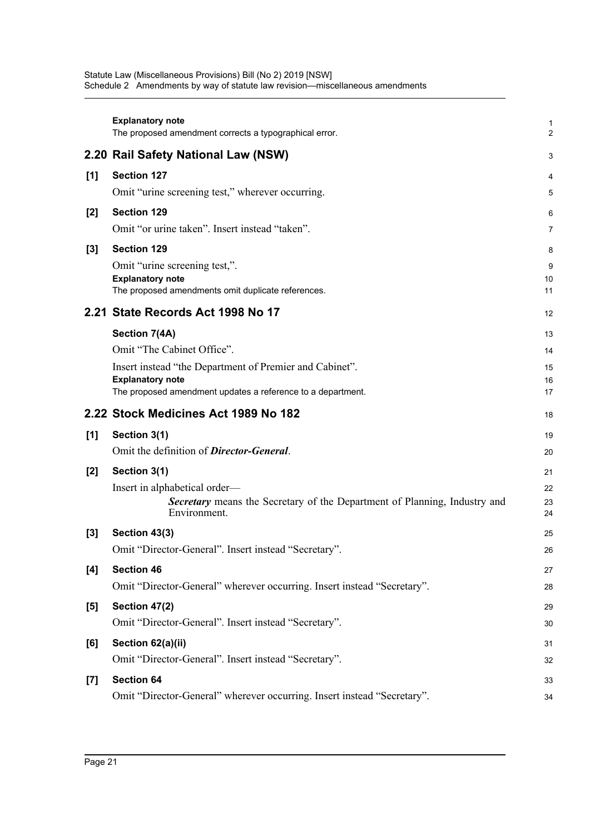|       | <b>Explanatory note</b><br>The proposed amendment corrects a typographical error.                                                                                                                | 1<br>$\overline{2}$        |
|-------|--------------------------------------------------------------------------------------------------------------------------------------------------------------------------------------------------|----------------------------|
|       | 2.20 Rail Safety National Law (NSW)                                                                                                                                                              | 3                          |
| [1]   | <b>Section 127</b><br>Omit "urine screening test," wherever occurring.                                                                                                                           | 4<br>5                     |
| $[2]$ | <b>Section 129</b><br>Omit "or urine taken". Insert instead "taken".                                                                                                                             | 6<br>7                     |
| $[3]$ | <b>Section 129</b><br>Omit "urine screening test,".<br><b>Explanatory note</b><br>The proposed amendments omit duplicate references.                                                             | 8<br>9<br>10<br>11         |
|       | 2.21 State Records Act 1998 No 17                                                                                                                                                                | 12                         |
|       | Section 7(4A)<br>Omit "The Cabinet Office".<br>Insert instead "the Department of Premier and Cabinet".<br><b>Explanatory note</b><br>The proposed amendment updates a reference to a department. | 13<br>14<br>15<br>16<br>17 |
|       | 2.22 Stock Medicines Act 1989 No 182                                                                                                                                                             | 18                         |
| [1]   | Section 3(1)<br>Omit the definition of <b>Director-General</b> .                                                                                                                                 | 19<br>20                   |
| $[2]$ | Section 3(1)<br>Insert in alphabetical order—<br>Secretary means the Secretary of the Department of Planning, Industry and<br>Environment.                                                       | 21<br>22<br>23<br>24       |
| $[3]$ | Section 43(3)<br>Omit "Director-General". Insert instead "Secretary".                                                                                                                            | 25<br>26                   |
| [4]   | <b>Section 46</b><br>Omit "Director-General" wherever occurring. Insert instead "Secretary".                                                                                                     | 27<br>28                   |
| [5]   | Section 47(2)<br>Omit "Director-General". Insert instead "Secretary".                                                                                                                            | 29<br>30                   |
| [6]   | Section 62(a)(ii)<br>Omit "Director-General". Insert instead "Secretary".                                                                                                                        | 31<br>32                   |
| $[7]$ | <b>Section 64</b><br>Omit "Director-General" wherever occurring. Insert instead "Secretary".                                                                                                     | 33<br>34                   |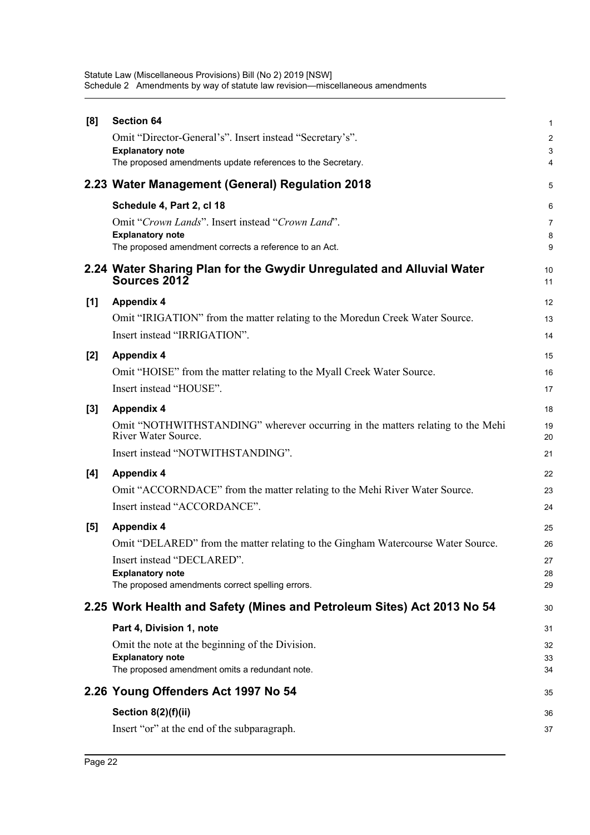| [8]   | <b>Section 64</b>                                                                                     | $\mathbf{1}$   |
|-------|-------------------------------------------------------------------------------------------------------|----------------|
|       | Omit "Director-General's". Insert instead "Secretary's".                                              | $\overline{c}$ |
|       | <b>Explanatory note</b>                                                                               | 3              |
|       | The proposed amendments update references to the Secretary.                                           | 4              |
|       | 2.23 Water Management (General) Regulation 2018                                                       | 5              |
|       | Schedule 4, Part 2, cl 18                                                                             | 6              |
|       | Omit "Crown Lands". Insert instead "Crown Land".                                                      | $\overline{7}$ |
|       | <b>Explanatory note</b><br>The proposed amendment corrects a reference to an Act.                     | 8<br>9         |
|       |                                                                                                       |                |
|       | 2.24 Water Sharing Plan for the Gwydir Unregulated and Alluvial Water<br>Sources 2012                 | 10<br>11       |
| [1]   | <b>Appendix 4</b>                                                                                     | 12             |
|       | Omit "IRIGATION" from the matter relating to the Moredun Creek Water Source.                          | 13             |
|       | Insert instead "IRRIGATION".                                                                          | 14             |
| $[2]$ | <b>Appendix 4</b>                                                                                     | 15             |
|       | Omit "HOISE" from the matter relating to the Myall Creek Water Source.                                | 16             |
|       | Insert instead "HOUSE".                                                                               | 17             |
| $[3]$ | <b>Appendix 4</b>                                                                                     | 18             |
|       | Omit "NOTHWITHSTANDING" wherever occurring in the matters relating to the Mehi<br>River Water Source. | 19<br>20       |
|       | Insert instead "NOTWITHSTANDING".                                                                     | 21             |
| [4]   | <b>Appendix 4</b>                                                                                     | 22             |
|       | Omit "ACCORNDACE" from the matter relating to the Mehi River Water Source.                            | 23             |
|       | Insert instead "ACCORDANCE".                                                                          | 24             |
| [5]   | <b>Appendix 4</b>                                                                                     | 25             |
|       | Omit "DELARED" from the matter relating to the Gingham Watercourse Water Source.                      | 26             |
|       | Insert instead "DECLARED".                                                                            | 27             |
|       | <b>Explanatory note</b>                                                                               | 28             |
|       | The proposed amendments correct spelling errors.                                                      | 29             |
|       | 2.25 Work Health and Safety (Mines and Petroleum Sites) Act 2013 No 54                                | 30             |
|       | Part 4, Division 1, note                                                                              | 31             |
|       | Omit the note at the beginning of the Division.                                                       | 32             |
|       | <b>Explanatory note</b><br>The proposed amendment omits a redundant note.                             | 33<br>34       |
|       |                                                                                                       |                |
|       | 2.26 Young Offenders Act 1997 No 54                                                                   | 35             |
|       | Section $8(2)(f)(ii)$                                                                                 | 36             |
|       | Insert "or" at the end of the subparagraph.                                                           | 37             |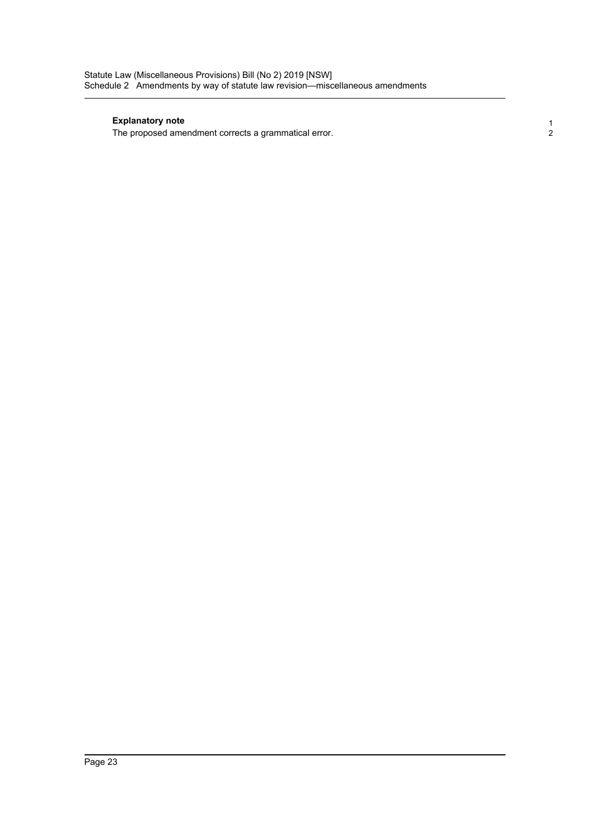#### **Explanatory note**

The proposed amendment corrects a grammatical error.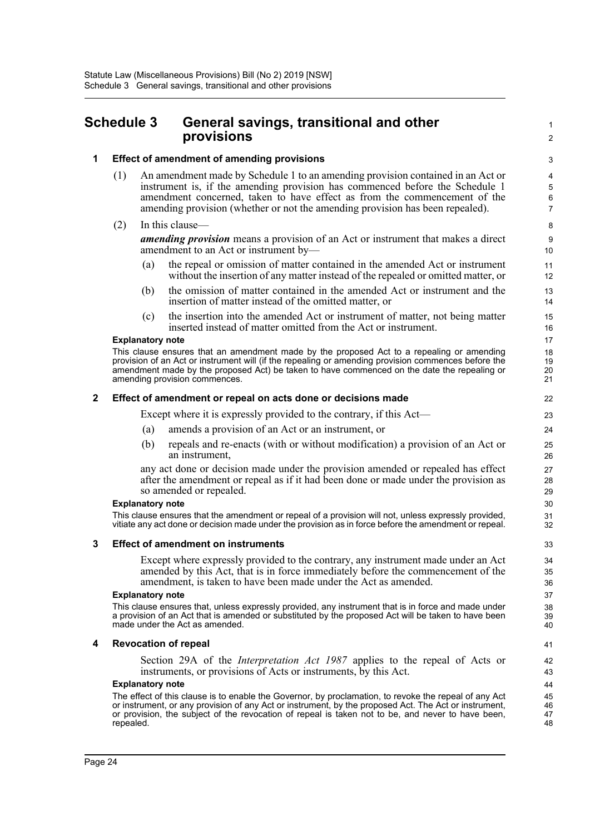## <span id="page-26-0"></span>**Schedule 3 General savings, transitional and other provisions**

#### **1 Effect of amendment of amending provisions**

- (1) An amendment made by Schedule 1 to an amending provision contained in an Act or instrument is, if the amending provision has commenced before the Schedule 1 amendment concerned, taken to have effect as from the commencement of the amending provision (whether or not the amending provision has been repealed).
- (2) In this clause—

*amending provision* means a provision of an Act or instrument that makes a direct amendment to an Act or instrument by—

- (a) the repeal or omission of matter contained in the amended Act or instrument without the insertion of any matter instead of the repealed or omitted matter, or
- (b) the omission of matter contained in the amended Act or instrument and the insertion of matter instead of the omitted matter, or
- (c) the insertion into the amended Act or instrument of matter, not being matter inserted instead of matter omitted from the Act or instrument.

#### **Explanatory note**

This clause ensures that an amendment made by the proposed Act to a repealing or amending provision of an Act or instrument will (if the repealing or amending provision commences before the amendment made by the proposed Act) be taken to have commenced on the date the repealing or amending provision commences.

#### **2 Effect of amendment or repeal on acts done or decisions made**

Except where it is expressly provided to the contrary, if this Act—

- (a) amends a provision of an Act or an instrument, or
- (b) repeals and re-enacts (with or without modification) a provision of an Act or an instrument,

any act done or decision made under the provision amended or repealed has effect after the amendment or repeal as if it had been done or made under the provision as so amended or repealed.

#### **Explanatory note**

This clause ensures that the amendment or repeal of a provision will not, unless expressly provided, vitiate any act done or decision made under the provision as in force before the amendment or repeal.

#### **3 Effect of amendment on instruments**

Except where expressly provided to the contrary, any instrument made under an Act amended by this Act, that is in force immediately before the commencement of the amendment, is taken to have been made under the Act as amended.

#### **Explanatory note**

This clause ensures that, unless expressly provided, any instrument that is in force and made under a provision of an Act that is amended or substituted by the proposed Act will be taken to have been made under the Act as amended.

#### **4 Revocation of repeal**

Section 29A of the *Interpretation Act 1987* applies to the repeal of Acts or instruments, or provisions of Acts or instruments, by this Act.

#### **Explanatory note**

The effect of this clause is to enable the Governor, by proclamation, to revoke the repeal of any Act or instrument, or any provision of any Act or instrument, by the proposed Act. The Act or instrument, or provision, the subject of the revocation of repeal is taken not to be, and never to have been, repealed.

41  $42$